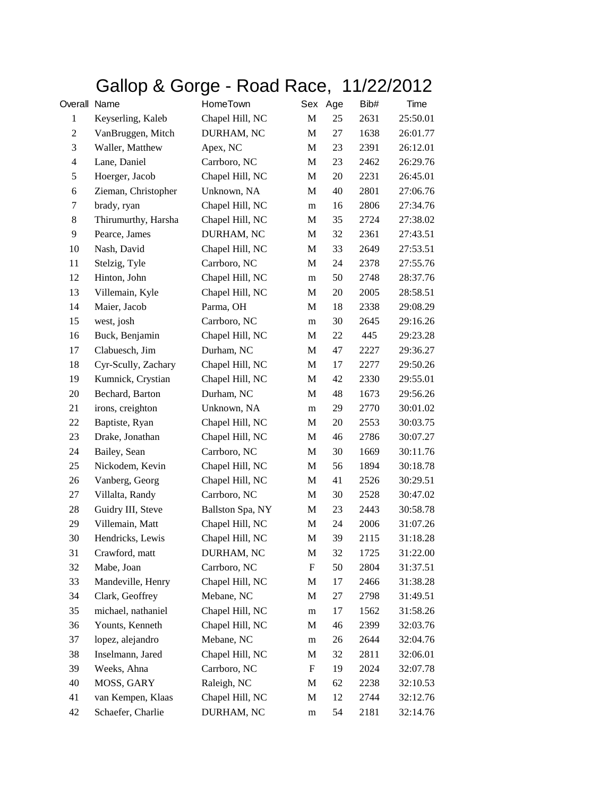## Gallop & Gorge - Road Race, 11/22/2012

| Overall Name   |                     | HomeTown         | Sex       | Age | Bib# | Time     |
|----------------|---------------------|------------------|-----------|-----|------|----------|
| $\mathbf{1}$   | Keyserling, Kaleb   | Chapel Hill, NC  | M         | 25  | 2631 | 25:50.01 |
| $\mathfrak{2}$ | VanBruggen, Mitch   | DURHAM, NC       | М         | 27  | 1638 | 26:01.77 |
| 3              | Waller, Matthew     | Apex, NC         | М         | 23  | 2391 | 26:12.01 |
| $\overline{4}$ | Lane, Daniel        | Carrboro, NC     | M         | 23  | 2462 | 26:29.76 |
| 5              | Hoerger, Jacob      | Chapel Hill, NC  | M         | 20  | 2231 | 26:45.01 |
| 6              | Zieman, Christopher | Unknown, NA      | М         | 40  | 2801 | 27:06.76 |
| 7              | brady, ryan         | Chapel Hill, NC  | m         | 16  | 2806 | 27:34.76 |
| 8              | Thirumurthy, Harsha | Chapel Hill, NC  | M         | 35  | 2724 | 27:38.02 |
| 9              | Pearce, James       | DURHAM, NC       | M         | 32  | 2361 | 27:43.51 |
| 10             | Nash, David         | Chapel Hill, NC  | M         | 33  | 2649 | 27:53.51 |
| 11             | Stelzig, Tyle       | Carrboro, NC     | М         | 24  | 2378 | 27:55.76 |
| 12             | Hinton, John        | Chapel Hill, NC  | m         | 50  | 2748 | 28:37.76 |
| 13             | Villemain, Kyle     | Chapel Hill, NC  | M         | 20  | 2005 | 28:58.51 |
| 14             | Maier, Jacob        | Parma, OH        | M         | 18  | 2338 | 29:08.29 |
| 15             | west, josh          | Carrboro, NC     | m         | 30  | 2645 | 29:16.26 |
| 16             | Buck, Benjamin      | Chapel Hill, NC  | М         | 22  | 445  | 29:23.28 |
| 17             | Clabuesch, Jim      | Durham, NC       | М         | 47  | 2227 | 29:36.27 |
| 18             | Cyr-Scully, Zachary | Chapel Hill, NC  | M         | 17  | 2277 | 29:50.26 |
| 19             | Kumnick, Crystian   | Chapel Hill, NC  | M         | 42  | 2330 | 29:55.01 |
| 20             | Bechard, Barton     | Durham, NC       | M         | 48  | 1673 | 29:56.26 |
| 21             | irons, creighton    | Unknown, NA      | m         | 29  | 2770 | 30:01.02 |
| 22             | Baptiste, Ryan      | Chapel Hill, NC  | M         | 20  | 2553 | 30:03.75 |
| 23             | Drake, Jonathan     | Chapel Hill, NC  | M         | 46  | 2786 | 30:07.27 |
| 24             | Bailey, Sean        | Carrboro, NC     | M         | 30  | 1669 | 30:11.76 |
| 25             | Nickodem, Kevin     | Chapel Hill, NC  | M         | 56  | 1894 | 30:18.78 |
| 26             | Vanberg, Georg      | Chapel Hill, NC  | М         | 41  | 2526 | 30:29.51 |
| 27             | Villalta, Randy     | Carrboro, NC     | M         | 30  | 2528 | 30:47.02 |
| 28             | Guidry III, Steve   | Ballston Spa, NY | M         | 23  | 2443 | 30:58.78 |
| 29             | Villemain, Matt     | Chapel Hill, NC  | M         | 24  | 2006 | 31:07.26 |
| 30             | Hendricks, Lewis    | Chapel Hill, NC  | M         | 39  | 2115 | 31:18.28 |
| 31             | Crawford, matt      | DURHAM, NC       | M         | 32  | 1725 | 31:22.00 |
| 32             | Mabe, Joan          | Carrboro, NC     | ${\rm F}$ | 50  | 2804 | 31:37.51 |
| 33             | Mandeville, Henry   | Chapel Hill, NC  | M         | 17  | 2466 | 31:38.28 |
| 34             | Clark, Geoffrey     | Mebane, NC       | M         | 27  | 2798 | 31:49.51 |
| 35             | michael, nathaniel  | Chapel Hill, NC  | m         | 17  | 1562 | 31:58.26 |
| 36             | Younts, Kenneth     | Chapel Hill, NC  | M         | 46  | 2399 | 32:03.76 |
| 37             | lopez, alejandro    | Mebane, NC       | ${\bf m}$ | 26  | 2644 | 32:04.76 |
| 38             | Inselmann, Jared    | Chapel Hill, NC  | M         | 32  | 2811 | 32:06.01 |
| 39             | Weeks, Ahna         | Carrboro, NC     | F         | 19  | 2024 | 32:07.78 |
| 40             | MOSS, GARY          | Raleigh, NC      | М         | 62  | 2238 | 32:10.53 |
| 41             | van Kempen, Klaas   | Chapel Hill, NC  | M         | 12  | 2744 | 32:12.76 |
| 42             | Schaefer, Charlie   | DURHAM, NC       | m         | 54  | 2181 | 32:14.76 |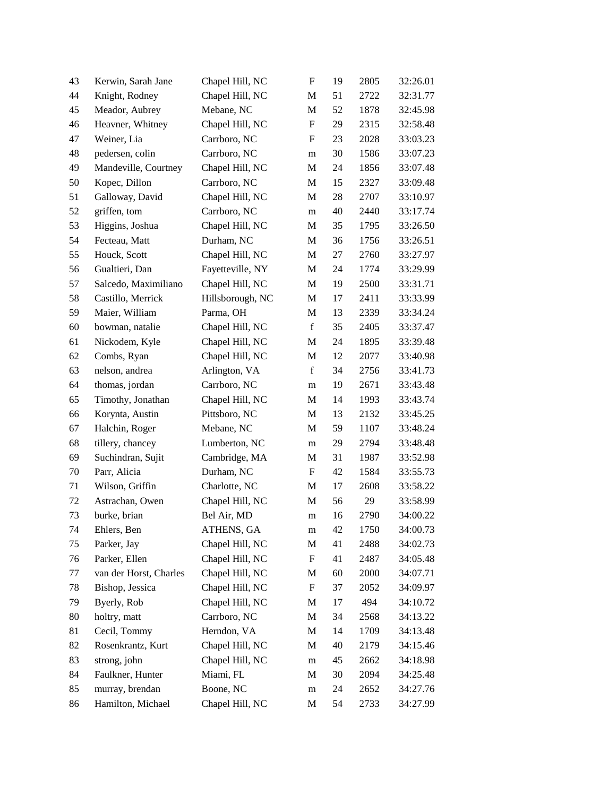| 43     | Kerwin, Sarah Jane     | Chapel Hill, NC  | $\mathbf F$               | 19 | 2805 | 32:26.01 |
|--------|------------------------|------------------|---------------------------|----|------|----------|
| 44     | Knight, Rodney         | Chapel Hill, NC  | M                         | 51 | 2722 | 32:31.77 |
| 45     | Meador, Aubrey         | Mebane, NC       | $\mathbf M$               | 52 | 1878 | 32:45.98 |
| 46     | Heavner, Whitney       | Chapel Hill, NC  | $\boldsymbol{\mathrm{F}}$ | 29 | 2315 | 32:58.48 |
| 47     | Weiner, Lia            | Carrboro, NC     | F                         | 23 | 2028 | 33:03.23 |
| 48     | pedersen, colin        | Carrboro, NC     | m                         | 30 | 1586 | 33:07.23 |
| 49     | Mandeville, Courtney   | Chapel Hill, NC  | M                         | 24 | 1856 | 33:07.48 |
| 50     | Kopec, Dillon          | Carrboro, NC     | M                         | 15 | 2327 | 33:09.48 |
| 51     | Galloway, David        | Chapel Hill, NC  | M                         | 28 | 2707 | 33:10.97 |
| 52     | griffen, tom           | Carrboro, NC     | m                         | 40 | 2440 | 33:17.74 |
| 53     | Higgins, Joshua        | Chapel Hill, NC  | M                         | 35 | 1795 | 33:26.50 |
| 54     | Fecteau, Matt          | Durham, NC       | M                         | 36 | 1756 | 33:26.51 |
| 55     | Houck, Scott           | Chapel Hill, NC  | M                         | 27 | 2760 | 33:27.97 |
| 56     | Gualtieri, Dan         | Fayetteville, NY | M                         | 24 | 1774 | 33:29.99 |
| 57     | Salcedo, Maximiliano   | Chapel Hill, NC  | M                         | 19 | 2500 | 33:31.71 |
| 58     | Castillo, Merrick      | Hillsborough, NC | M                         | 17 | 2411 | 33:33.99 |
| 59     | Maier, William         | Parma, OH        | M                         | 13 | 2339 | 33:34.24 |
| 60     | bowman, natalie        | Chapel Hill, NC  | $\mathbf f$               | 35 | 2405 | 33:37.47 |
| 61     | Nickodem, Kyle         | Chapel Hill, NC  | M                         | 24 | 1895 | 33:39.48 |
| 62     | Combs, Ryan            | Chapel Hill, NC  | M                         | 12 | 2077 | 33:40.98 |
| 63     | nelson, andrea         | Arlington, VA    | $\mathbf f$               | 34 | 2756 | 33:41.73 |
| 64     | thomas, jordan         | Carrboro, NC     | m                         | 19 | 2671 | 33:43.48 |
| 65     | Timothy, Jonathan      | Chapel Hill, NC  | M                         | 14 | 1993 | 33:43.74 |
| 66     | Korynta, Austin        | Pittsboro, NC    | M                         | 13 | 2132 | 33:45.25 |
| 67     | Halchin, Roger         | Mebane, NC       | M                         | 59 | 1107 | 33:48.24 |
| 68     | tillery, chancey       | Lumberton, NC    | m                         | 29 | 2794 | 33:48.48 |
| 69     | Suchindran, Sujit      | Cambridge, MA    | M                         | 31 | 1987 | 33:52.98 |
| $70\,$ | Parr, Alicia           | Durham, NC       | $\boldsymbol{\mathrm{F}}$ | 42 | 1584 | 33:55.73 |
| 71     | Wilson, Griffin        | Charlotte, NC    | M                         | 17 | 2608 | 33:58.22 |
| 72     | Astrachan, Owen        | Chapel Hill, NC  | M                         | 56 | 29   | 33:58.99 |
| 73     | burke, brian           | Bel Air, MD      | m                         | 16 | 2790 | 34:00.22 |
| 74     | Ehlers, Ben            | ATHENS, GA       | m                         | 42 | 1750 | 34:00.73 |
| 75     | Parker, Jay            | Chapel Hill, NC  | $\mathbf M$               | 41 | 2488 | 34:02.73 |
| 76     | Parker, Ellen          | Chapel Hill, NC  | F                         | 41 | 2487 | 34:05.48 |
| 77     | van der Horst, Charles | Chapel Hill, NC  | M                         | 60 | 2000 | 34:07.71 |
| 78     | Bishop, Jessica        | Chapel Hill, NC  | $\boldsymbol{\mathrm{F}}$ | 37 | 2052 | 34:09.97 |
| 79     | Byerly, Rob            | Chapel Hill, NC  | M                         | 17 | 494  | 34:10.72 |
| 80     | holtry, matt           | Carrboro, NC     | $\mathbf M$               | 34 | 2568 | 34:13.22 |
| 81     | Cecil, Tommy           | Herndon, VA      | M                         | 14 | 1709 | 34:13.48 |
| 82     | Rosenkrantz, Kurt      | Chapel Hill, NC  | M                         | 40 | 2179 | 34:15.46 |
| 83     | strong, john           | Chapel Hill, NC  | m                         | 45 | 2662 | 34:18.98 |
| 84     | Faulkner, Hunter       | Miami, FL        | M                         | 30 | 2094 | 34:25.48 |
| 85     | murray, brendan        | Boone, NC        | m                         | 24 | 2652 | 34:27.76 |
| 86     | Hamilton, Michael      | Chapel Hill, NC  | M                         | 54 | 2733 | 34:27.99 |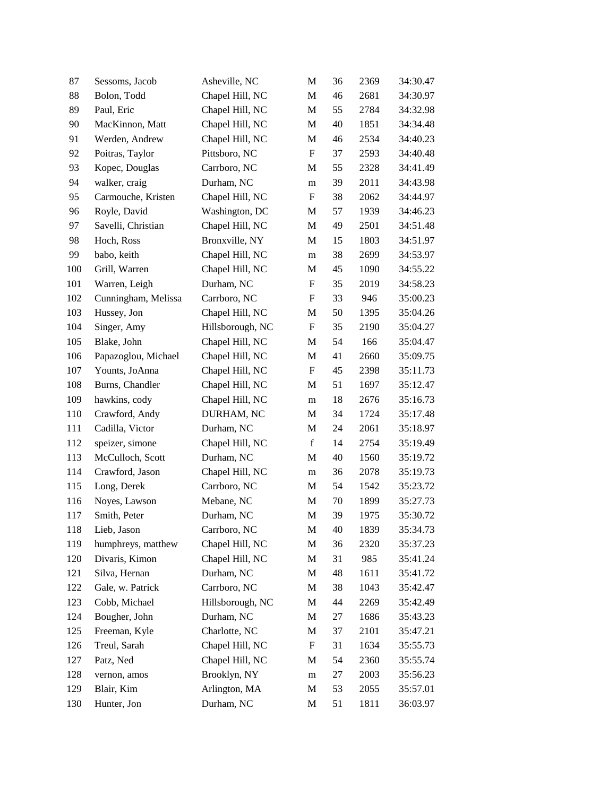| 87  | Sessoms, Jacob      | Asheville, NC    | M                         | 36 | 2369 | 34:30.47 |
|-----|---------------------|------------------|---------------------------|----|------|----------|
| 88  | Bolon, Todd         | Chapel Hill, NC  | M                         | 46 | 2681 | 34:30.97 |
| 89  | Paul, Eric          | Chapel Hill, NC  | $\mathbf M$               | 55 | 2784 | 34:32.98 |
| 90  | MacKinnon, Matt     | Chapel Hill, NC  | M                         | 40 | 1851 | 34:34.48 |
| 91  | Werden, Andrew      | Chapel Hill, NC  | M                         | 46 | 2534 | 34:40.23 |
| 92  | Poitras, Taylor     | Pittsboro, NC    | $\boldsymbol{\mathrm{F}}$ | 37 | 2593 | 34:40.48 |
| 93  | Kopec, Douglas      | Carrboro, NC     | M                         | 55 | 2328 | 34:41.49 |
| 94  | walker, craig       | Durham, NC       | m                         | 39 | 2011 | 34:43.98 |
| 95  | Carmouche, Kristen  | Chapel Hill, NC  | F                         | 38 | 2062 | 34:44.97 |
| 96  | Royle, David        | Washington, DC   | M                         | 57 | 1939 | 34:46.23 |
| 97  | Savelli, Christian  | Chapel Hill, NC  | M                         | 49 | 2501 | 34:51.48 |
| 98  | Hoch, Ross          | Bronxville, NY   | M                         | 15 | 1803 | 34:51.97 |
| 99  | babo, keith         | Chapel Hill, NC  | m                         | 38 | 2699 | 34:53.97 |
| 100 | Grill, Warren       | Chapel Hill, NC  | M                         | 45 | 1090 | 34:55.22 |
| 101 | Warren, Leigh       | Durham, NC       | ${\bf F}$                 | 35 | 2019 | 34:58.23 |
| 102 | Cunningham, Melissa | Carrboro, NC     | $\boldsymbol{\mathrm{F}}$ | 33 | 946  | 35:00.23 |
| 103 | Hussey, Jon         | Chapel Hill, NC  | M                         | 50 | 1395 | 35:04.26 |
| 104 | Singer, Amy         | Hillsborough, NC | $\boldsymbol{\mathrm{F}}$ | 35 | 2190 | 35:04.27 |
| 105 | Blake, John         | Chapel Hill, NC  | M                         | 54 | 166  | 35:04.47 |
| 106 | Papazoglou, Michael | Chapel Hill, NC  | M                         | 41 | 2660 | 35:09.75 |
| 107 | Younts, JoAnna      | Chapel Hill, NC  | $\boldsymbol{\mathrm{F}}$ | 45 | 2398 | 35:11.73 |
| 108 | Burns, Chandler     | Chapel Hill, NC  | M                         | 51 | 1697 | 35:12.47 |
| 109 | hawkins, cody       | Chapel Hill, NC  | m                         | 18 | 2676 | 35:16.73 |
| 110 | Crawford, Andy      | DURHAM, NC       | M                         | 34 | 1724 | 35:17.48 |
| 111 | Cadilla, Victor     | Durham, NC       | M                         | 24 | 2061 | 35:18.97 |
| 112 | speizer, simone     | Chapel Hill, NC  | $\mathbf f$               | 14 | 2754 | 35:19.49 |
| 113 | McCulloch, Scott    | Durham, NC       | M                         | 40 | 1560 | 35:19.72 |
| 114 | Crawford, Jason     | Chapel Hill, NC  | m                         | 36 | 2078 | 35:19.73 |
| 115 | Long, Derek         | Carrboro, NC     | M                         | 54 | 1542 | 35:23.72 |
| 116 | Noyes, Lawson       | Mebane, NC       | M                         | 70 | 1899 | 35:27.73 |
| 117 | Smith, Peter        | Durham, NC       | M                         | 39 | 1975 | 35:30.72 |
| 118 | Lieb, Jason         | Carrboro, NC     | M                         | 40 | 1839 | 35:34.73 |
| 119 | humphreys, matthew  | Chapel Hill, NC  | M                         | 36 | 2320 | 35:37.23 |
| 120 | Divaris, Kimon      | Chapel Hill, NC  | M                         | 31 | 985  | 35:41.24 |
| 121 | Silva, Hernan       | Durham, NC       | M                         | 48 | 1611 | 35:41.72 |
| 122 | Gale, w. Patrick    | Carrboro, NC     | M                         | 38 | 1043 | 35:42.47 |
| 123 | Cobb, Michael       | Hillsborough, NC | M                         | 44 | 2269 | 35:42.49 |
| 124 | Bougher, John       | Durham, NC       | $\mathbf M$               | 27 | 1686 | 35:43.23 |
| 125 | Freeman, Kyle       | Charlotte, NC    | M                         | 37 | 2101 | 35:47.21 |
| 126 | Treul, Sarah        | Chapel Hill, NC  | $\boldsymbol{\mathrm{F}}$ | 31 | 1634 | 35:55.73 |
| 127 | Patz, Ned           | Chapel Hill, NC  | M                         | 54 | 2360 | 35:55.74 |
| 128 | vernon, amos        | Brooklyn, NY     | m                         | 27 | 2003 | 35:56.23 |
| 129 | Blair, Kim          | Arlington, MA    | M                         | 53 | 2055 | 35:57.01 |
| 130 | Hunter, Jon         | Durham, NC       | M                         | 51 | 1811 | 36:03.97 |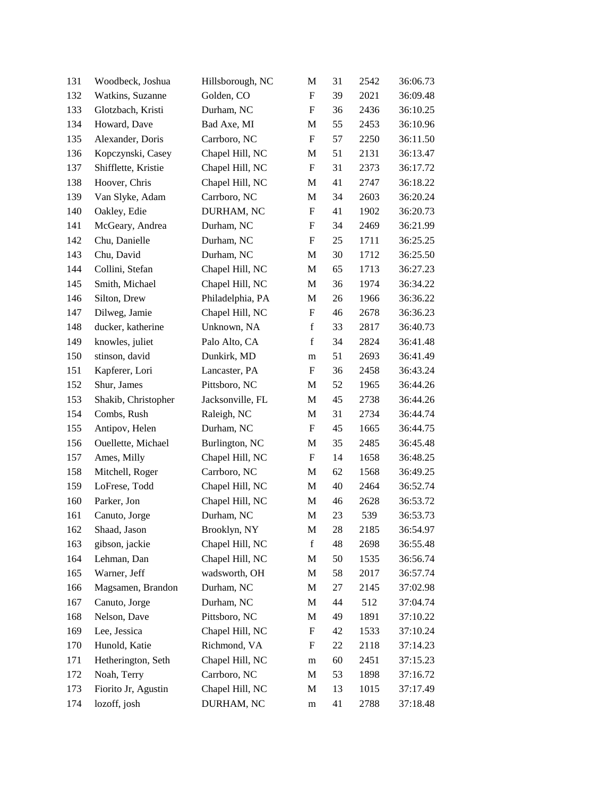| 131 | Woodbeck, Joshua    | Hillsborough, NC | M                         | 31 | 2542 | 36:06.73 |
|-----|---------------------|------------------|---------------------------|----|------|----------|
| 132 | Watkins, Suzanne    | Golden, CO       | $\mathbf F$               | 39 | 2021 | 36:09.48 |
| 133 | Glotzbach, Kristi   | Durham, NC       | $\boldsymbol{\mathrm{F}}$ | 36 | 2436 | 36:10.25 |
| 134 | Howard, Dave        | Bad Axe, MI      | M                         | 55 | 2453 | 36:10.96 |
| 135 | Alexander, Doris    | Carrboro, NC     | $\boldsymbol{\mathrm{F}}$ | 57 | 2250 | 36:11.50 |
| 136 | Kopczynski, Casey   | Chapel Hill, NC  | M                         | 51 | 2131 | 36:13.47 |
| 137 | Shifflette, Kristie | Chapel Hill, NC  | $\boldsymbol{\mathrm{F}}$ | 31 | 2373 | 36:17.72 |
| 138 | Hoover, Chris       | Chapel Hill, NC  | M                         | 41 | 2747 | 36:18.22 |
| 139 | Van Slyke, Adam     | Carrboro, NC     | M                         | 34 | 2603 | 36:20.24 |
| 140 | Oakley, Edie        | DURHAM, NC       | $\boldsymbol{\mathrm{F}}$ | 41 | 1902 | 36:20.73 |
| 141 | McGeary, Andrea     | Durham, NC       | $\boldsymbol{\mathrm{F}}$ | 34 | 2469 | 36:21.99 |
| 142 | Chu, Danielle       | Durham, NC       | F                         | 25 | 1711 | 36:25.25 |
| 143 | Chu, David          | Durham, NC       | M                         | 30 | 1712 | 36:25.50 |
| 144 | Collini, Stefan     | Chapel Hill, NC  | M                         | 65 | 1713 | 36:27.23 |
| 145 | Smith, Michael      | Chapel Hill, NC  | $\mathbf M$               | 36 | 1974 | 36:34.22 |
| 146 | Silton, Drew        | Philadelphia, PA | M                         | 26 | 1966 | 36:36.22 |
| 147 | Dilweg, Jamie       | Chapel Hill, NC  | F                         | 46 | 2678 | 36:36.23 |
| 148 | ducker, katherine   | Unknown, NA      | $\mathbf f$               | 33 | 2817 | 36:40.73 |
| 149 | knowles, juliet     | Palo Alto, CA    | $\mathbf f$               | 34 | 2824 | 36:41.48 |
| 150 | stinson, david      | Dunkirk, MD      | m                         | 51 | 2693 | 36:41.49 |
| 151 | Kapferer, Lori      | Lancaster, PA    | $\boldsymbol{\mathrm{F}}$ | 36 | 2458 | 36:43.24 |
| 152 | Shur, James         | Pittsboro, NC    | M                         | 52 | 1965 | 36:44.26 |
| 153 | Shakib, Christopher | Jacksonville, FL | M                         | 45 | 2738 | 36:44.26 |
| 154 | Combs, Rush         | Raleigh, NC      | M                         | 31 | 2734 | 36:44.74 |
| 155 | Antipov, Helen      | Durham, NC       | F                         | 45 | 1665 | 36:44.75 |
| 156 | Ouellette, Michael  | Burlington, NC   | M                         | 35 | 2485 | 36:45.48 |
| 157 | Ames, Milly         | Chapel Hill, NC  | F                         | 14 | 1658 | 36:48.25 |
| 158 | Mitchell, Roger     | Carrboro, NC     | M                         | 62 | 1568 | 36:49.25 |
| 159 | LoFrese, Todd       | Chapel Hill, NC  | M                         | 40 | 2464 | 36:52.74 |
| 160 | Parker, Jon         | Chapel Hill, NC  | M                         | 46 | 2628 | 36:53.72 |
| 161 | Canuto, Jorge       | Durham, NC       | M                         | 23 | 539  | 36:53.73 |
| 162 | Shaad, Jason        | Brooklyn, NY     | M                         | 28 | 2185 | 36:54.97 |
| 163 | gibson, jackie      | Chapel Hill, NC  | $\mathbf f$               | 48 | 2698 | 36:55.48 |
| 164 | Lehman, Dan         | Chapel Hill, NC  | M                         | 50 | 1535 | 36:56.74 |
| 165 | Warner, Jeff        | wadsworth, OH    | M                         | 58 | 2017 | 36:57.74 |
| 166 | Magsamen, Brandon   | Durham, NC       | M                         | 27 | 2145 | 37:02.98 |
| 167 | Canuto, Jorge       | Durham, NC       | M                         | 44 | 512  | 37:04.74 |
| 168 | Nelson, Dave        | Pittsboro, NC    | M                         | 49 | 1891 | 37:10.22 |
| 169 | Lee, Jessica        | Chapel Hill, NC  | ${\rm F}$                 | 42 | 1533 | 37:10.24 |
| 170 | Hunold, Katie       | Richmond, VA     | ${\rm F}$                 | 22 | 2118 | 37:14.23 |
| 171 | Hetherington, Seth  | Chapel Hill, NC  | m                         | 60 | 2451 | 37:15.23 |
| 172 | Noah, Terry         | Carrboro, NC     | M                         | 53 | 1898 | 37:16.72 |
| 173 | Fiorito Jr, Agustin | Chapel Hill, NC  | M                         | 13 | 1015 | 37:17.49 |
| 174 | lozoff, josh        | DURHAM, NC       | m                         | 41 | 2788 | 37:18.48 |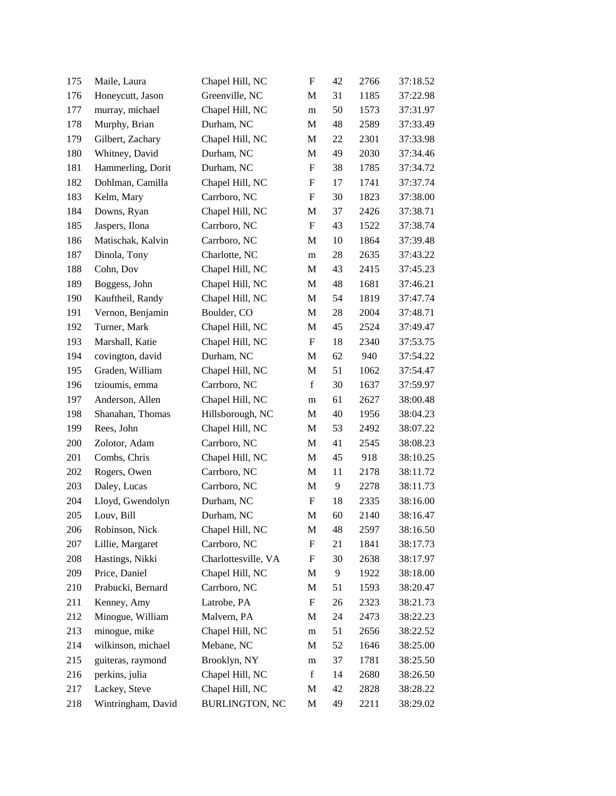| 175 | Maile, Laura       | Chapel Hill, NC       | ${\rm F}$                 | 42     | 2766 | 37:18.52 |
|-----|--------------------|-----------------------|---------------------------|--------|------|----------|
| 176 | Honeycutt, Jason   | Greenville, NC        | M                         | 31     | 1185 | 37:22.98 |
| 177 | murray, michael    | Chapel Hill, NC       | m                         | 50     | 1573 | 37:31.97 |
| 178 | Murphy, Brian      | Durham, NC            | M                         | 48     | 2589 | 37:33.49 |
| 179 | Gilbert, Zachary   | Chapel Hill, NC       | M                         | 22     | 2301 | 37:33.98 |
| 180 | Whitney, David     | Durham, NC            | M                         | 49     | 2030 | 37:34.46 |
| 181 | Hammerling, Dorit  | Durham, NC            | F                         | 38     | 1785 | 37:34.72 |
| 182 | Dohlman, Camilla   | Chapel Hill, NC       | F                         | 17     | 1741 | 37:37.74 |
| 183 | Kelm, Mary         | Carrboro, NC          | ${\rm F}$                 | 30     | 1823 | 37:38.00 |
| 184 | Downs, Ryan        | Chapel Hill, NC       | M                         | 37     | 2426 | 37:38.71 |
| 185 | Jaspers, Ilona     | Carrboro, NC          | $\boldsymbol{\mathrm{F}}$ | 43     | 1522 | 37:38.74 |
| 186 | Matischak, Kalvin  | Carrboro, NC          | M                         | 10     | 1864 | 37:39.48 |
| 187 | Dinola, Tony       | Charlotte, NC         | m                         | $28\,$ | 2635 | 37:43.22 |
| 188 | Cohn, Dov          | Chapel Hill, NC       | M                         | 43     | 2415 | 37:45.23 |
| 189 | Boggess, John      | Chapel Hill, NC       | M                         | 48     | 1681 | 37:46.21 |
| 190 | Kauftheil, Randy   | Chapel Hill, NC       | M                         | 54     | 1819 | 37:47.74 |
| 191 | Vernon, Benjamin   | Boulder, CO           | M                         | 28     | 2004 | 37:48.71 |
| 192 | Turner, Mark       | Chapel Hill, NC       | M                         | 45     | 2524 | 37:49.47 |
| 193 | Marshall, Katie    | Chapel Hill, NC       | $\boldsymbol{\mathrm{F}}$ | 18     | 2340 | 37:53.75 |
| 194 | covington, david   | Durham, NC            | M                         | 62     | 940  | 37:54.22 |
| 195 | Graden, William    | Chapel Hill, NC       | M                         | 51     | 1062 | 37:54.47 |
| 196 | tzioumis, emma     | Carrboro, NC          | $\mathbf f$               | 30     | 1637 | 37:59.97 |
| 197 | Anderson, Allen    | Chapel Hill, NC       | m                         | 61     | 2627 | 38:00.48 |
| 198 | Shanahan, Thomas   | Hillsborough, NC      | M                         | 40     | 1956 | 38:04.23 |
| 199 | Rees, John         | Chapel Hill, NC       | M                         | 53     | 2492 | 38:07.22 |
| 200 | Zolotor, Adam      | Carrboro, NC          | M                         | 41     | 2545 | 38:08.23 |
| 201 | Combs, Chris       | Chapel Hill, NC       | M                         | 45     | 918  | 38:10.25 |
| 202 | Rogers, Owen       | Carrboro, NC          | M                         | 11     | 2178 | 38:11.72 |
| 203 | Daley, Lucas       | Carrboro, NC          | M                         | 9      | 2278 | 38:11.73 |
| 204 | Lloyd, Gwendolyn   | Durham, NC            | ${\bf F}$                 | 18     | 2335 | 38:16.00 |
| 205 | Louv, Bill         | Durham, NC            | M                         | 60     | 2140 | 38:16.47 |
| 206 | Robinson, Nick     | Chapel Hill, NC       | M                         | 48     | 2597 | 38:16.50 |
| 207 | Lillie, Margaret   | Carrboro, NC          | F                         | 21     | 1841 | 38:17.73 |
| 208 | Hastings, Nikki    | Charlottesville, VA   | ${\rm F}$                 | 30     | 2638 | 38:17.97 |
| 209 | Price, Daniel      | Chapel Hill, NC       | M                         | 9      | 1922 | 38:18.00 |
| 210 | Prabucki, Bernard  | Carrboro, NC          | M                         | 51     | 1593 | 38:20.47 |
| 211 | Kenney, Amy        | Latrobe, PA           | F                         | 26     | 2323 | 38:21.73 |
| 212 | Minogue, William   | Malvern, PA           | M                         | 24     | 2473 | 38:22.23 |
| 213 | minogue, mike      | Chapel Hill, NC       | m                         | 51     | 2656 | 38:22.52 |
| 214 | wilkinson, michael | Mebane, NC            | M                         | 52     | 1646 | 38:25.00 |
| 215 | guiteras, raymond  | Brooklyn, NY          | m                         | 37     | 1781 | 38:25.50 |
| 216 | perkins, julia     | Chapel Hill, NC       | $\mathbf f$               | 14     | 2680 | 38:26.50 |
| 217 | Lackey, Steve      | Chapel Hill, NC       | M                         | 42     | 2828 | 38:28.22 |
| 218 | Wintringham, David | <b>BURLINGTON, NC</b> | M                         | 49     | 2211 | 38:29.02 |
|     |                    |                       |                           |        |      |          |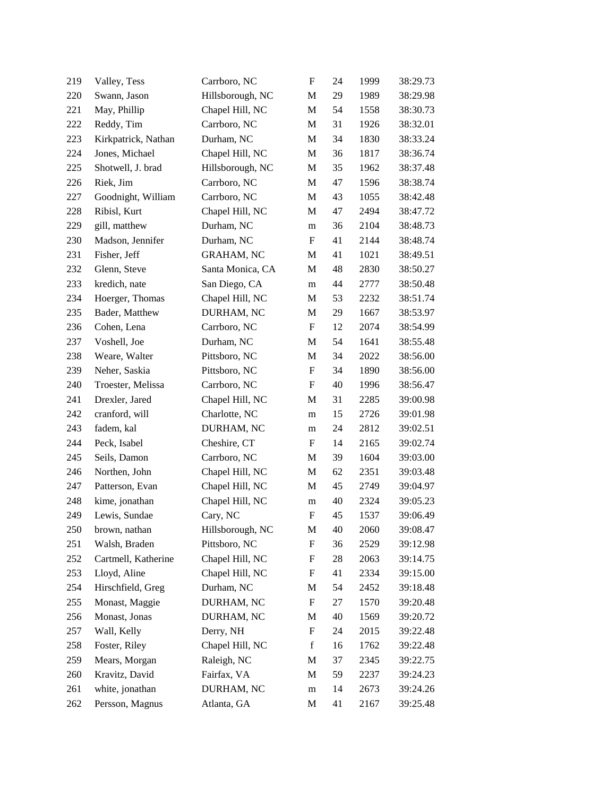| 219 | Valley, Tess        | Carrboro, NC      | $\boldsymbol{\mathrm{F}}$ | 24 | 1999 | 38:29.73 |
|-----|---------------------|-------------------|---------------------------|----|------|----------|
| 220 | Swann, Jason        | Hillsborough, NC  | M                         | 29 | 1989 | 38:29.98 |
| 221 | May, Phillip        | Chapel Hill, NC   | M                         | 54 | 1558 | 38:30.73 |
| 222 | Reddy, Tim          | Carrboro, NC      | M                         | 31 | 1926 | 38:32.01 |
| 223 | Kirkpatrick, Nathan | Durham, NC        | M                         | 34 | 1830 | 38:33.24 |
| 224 | Jones, Michael      | Chapel Hill, NC   | M                         | 36 | 1817 | 38:36.74 |
| 225 | Shotwell, J. brad   | Hillsborough, NC  | M                         | 35 | 1962 | 38:37.48 |
| 226 | Riek, Jim           | Carrboro, NC      | M                         | 47 | 1596 | 38:38.74 |
| 227 | Goodnight, William  | Carrboro, NC      | M                         | 43 | 1055 | 38:42.48 |
| 228 | Ribisl, Kurt        | Chapel Hill, NC   | M                         | 47 | 2494 | 38:47.72 |
| 229 | gill, matthew       | Durham, NC        | m                         | 36 | 2104 | 38:48.73 |
| 230 | Madson, Jennifer    | Durham, NC        | F                         | 41 | 2144 | 38:48.74 |
| 231 | Fisher, Jeff        | <b>GRAHAM, NC</b> | M                         | 41 | 1021 | 38:49.51 |
| 232 | Glenn, Steve        | Santa Monica, CA  | M                         | 48 | 2830 | 38:50.27 |
| 233 | kredich, nate       | San Diego, CA     | m                         | 44 | 2777 | 38:50.48 |
| 234 | Hoerger, Thomas     | Chapel Hill, NC   | M                         | 53 | 2232 | 38:51.74 |
| 235 | Bader, Matthew      | DURHAM, NC        | M                         | 29 | 1667 | 38:53.97 |
| 236 | Cohen, Lena         | Carrboro, NC      | $\boldsymbol{\mathrm{F}}$ | 12 | 2074 | 38:54.99 |
| 237 | Voshell, Joe        | Durham, NC        | M                         | 54 | 1641 | 38:55.48 |
| 238 | Weare, Walter       | Pittsboro, NC     | M                         | 34 | 2022 | 38:56.00 |
| 239 | Neher, Saskia       | Pittsboro, NC     | F                         | 34 | 1890 | 38:56.00 |
| 240 | Troester, Melissa   | Carrboro, NC      | F                         | 40 | 1996 | 38:56.47 |
| 241 | Drexler, Jared      | Chapel Hill, NC   | M                         | 31 | 2285 | 39:00.98 |
| 242 | cranford, will      | Charlotte, NC     | m                         | 15 | 2726 | 39:01.98 |
| 243 | fadem, kal          | DURHAM, NC        | m                         | 24 | 2812 | 39:02.51 |
| 244 | Peck, Isabel        | Cheshire, CT      | F                         | 14 | 2165 | 39:02.74 |
| 245 | Seils, Damon        | Carrboro, NC      | M                         | 39 | 1604 | 39:03.00 |
| 246 | Northen, John       | Chapel Hill, NC   | M                         | 62 | 2351 | 39:03.48 |
| 247 | Patterson, Evan     | Chapel Hill, NC   | M                         | 45 | 2749 | 39:04.97 |
| 248 | kime, jonathan      | Chapel Hill, NC   | m                         | 40 | 2324 | 39:05.23 |
| 249 | Lewis, Sundae       | Cary, NC          | $\boldsymbol{F}$          | 45 | 1537 | 39:06.49 |
| 250 | brown, nathan       | Hillsborough, NC  | M                         | 40 | 2060 | 39:08.47 |
| 251 | Walsh, Braden       | Pittsboro, NC     | F                         | 36 | 2529 | 39:12.98 |
| 252 | Cartmell, Katherine | Chapel Hill, NC   | F                         | 28 | 2063 | 39:14.75 |
| 253 | Lloyd, Aline        | Chapel Hill, NC   | $\boldsymbol{\mathrm{F}}$ | 41 | 2334 | 39:15.00 |
| 254 | Hirschfield, Greg   | Durham, NC        | M                         | 54 | 2452 | 39:18.48 |
| 255 | Monast, Maggie      | DURHAM, NC        | F                         | 27 | 1570 | 39:20.48 |
| 256 | Monast, Jonas       | DURHAM, NC        | M                         | 40 | 1569 | 39:20.72 |
| 257 | Wall, Kelly         | Derry, NH         | ${\rm F}$                 | 24 | 2015 | 39:22.48 |
| 258 | Foster, Riley       | Chapel Hill, NC   | $\mathbf f$               | 16 | 1762 | 39:22.48 |
| 259 | Mears, Morgan       | Raleigh, NC       | M                         | 37 | 2345 | 39:22.75 |
| 260 | Kravitz, David      | Fairfax, VA       | M                         | 59 | 2237 | 39:24.23 |
| 261 | white, jonathan     | DURHAM, NC        | m                         | 14 | 2673 | 39:24.26 |
| 262 | Persson, Magnus     | Atlanta, GA       | M                         | 41 | 2167 | 39:25.48 |
|     |                     |                   |                           |    |      |          |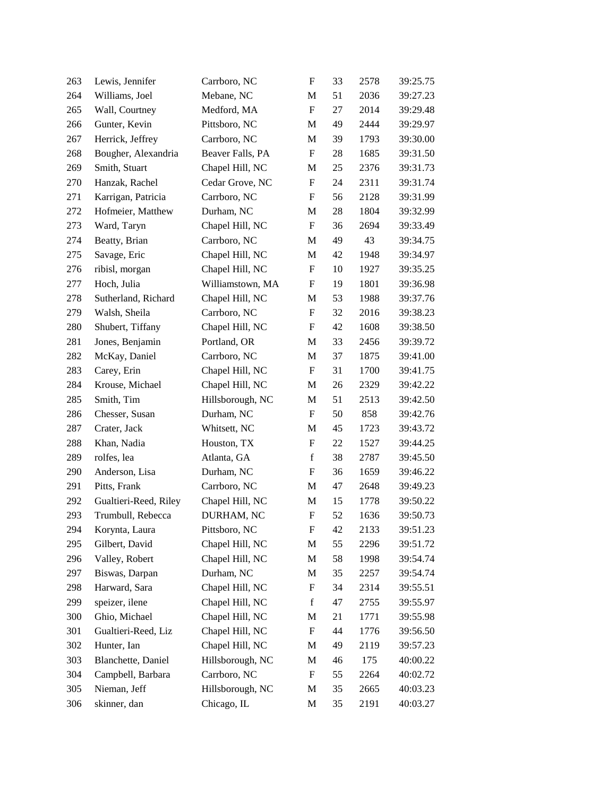| 263 | Lewis, Jennifer       | Carrboro, NC     | ${\rm F}$                 | 33 | 2578 | 39:25.75 |
|-----|-----------------------|------------------|---------------------------|----|------|----------|
| 264 | Williams, Joel        | Mebane, NC       | M                         | 51 | 2036 | 39:27.23 |
| 265 | Wall, Courtney        | Medford, MA      | $\boldsymbol{\mathrm{F}}$ | 27 | 2014 | 39:29.48 |
| 266 | Gunter, Kevin         | Pittsboro, NC    | M                         | 49 | 2444 | 39:29.97 |
| 267 | Herrick, Jeffrey      | Carrboro, NC     | M                         | 39 | 1793 | 39:30.00 |
| 268 | Bougher, Alexandria   | Beaver Falls, PA | ${\rm F}$                 | 28 | 1685 | 39:31.50 |
| 269 | Smith, Stuart         | Chapel Hill, NC  | M                         | 25 | 2376 | 39:31.73 |
| 270 | Hanzak, Rachel        | Cedar Grove, NC  | ${\rm F}$                 | 24 | 2311 | 39:31.74 |
| 271 | Karrigan, Patricia    | Carrboro, NC     | $\boldsymbol{F}$          | 56 | 2128 | 39:31.99 |
| 272 | Hofmeier, Matthew     | Durham, NC       | M                         | 28 | 1804 | 39:32.99 |
| 273 | Ward, Taryn           | Chapel Hill, NC  | ${\rm F}$                 | 36 | 2694 | 39:33.49 |
| 274 | Beatty, Brian         | Carrboro, NC     | M                         | 49 | 43   | 39:34.75 |
| 275 | Savage, Eric          | Chapel Hill, NC  | M                         | 42 | 1948 | 39:34.97 |
| 276 | ribisl, morgan        | Chapel Hill, NC  | $\boldsymbol{\mathrm{F}}$ | 10 | 1927 | 39:35.25 |
| 277 | Hoch, Julia           | Williamstown, MA | ${\rm F}$                 | 19 | 1801 | 39:36.98 |
| 278 | Sutherland, Richard   | Chapel Hill, NC  | M                         | 53 | 1988 | 39:37.76 |
| 279 | Walsh, Sheila         | Carrboro, NC     | $\boldsymbol{\mathrm{F}}$ | 32 | 2016 | 39:38.23 |
| 280 | Shubert, Tiffany      | Chapel Hill, NC  | ${\bf F}$                 | 42 | 1608 | 39:38.50 |
| 281 | Jones, Benjamin       | Portland, OR     | M                         | 33 | 2456 | 39:39.72 |
| 282 | McKay, Daniel         | Carrboro, NC     | M                         | 37 | 1875 | 39:41.00 |
| 283 | Carey, Erin           | Chapel Hill, NC  | ${\rm F}$                 | 31 | 1700 | 39:41.75 |
| 284 | Krouse, Michael       | Chapel Hill, NC  | M                         | 26 | 2329 | 39:42.22 |
| 285 | Smith, Tim            | Hillsborough, NC | M                         | 51 | 2513 | 39:42.50 |
| 286 | Chesser, Susan        | Durham, NC       | F                         | 50 | 858  | 39:42.76 |
| 287 | Crater, Jack          | Whitsett, NC     | M                         | 45 | 1723 | 39:43.72 |
| 288 | Khan, Nadia           | Houston, TX      | ${\rm F}$                 | 22 | 1527 | 39:44.25 |
| 289 | rolfes, lea           | Atlanta, GA      | $\mathbf f$               | 38 | 2787 | 39:45.50 |
| 290 | Anderson, Lisa        | Durham, NC       | ${\bf F}$                 | 36 | 1659 | 39:46.22 |
| 291 | Pitts, Frank          | Carrboro, NC     | M                         | 47 | 2648 | 39:49.23 |
| 292 | Gualtieri-Reed, Riley | Chapel Hill, NC  | M                         | 15 | 1778 | 39:50.22 |
| 293 | Trumbull, Rebecca     | DURHAM, NC       | ${\rm F}$                 | 52 | 1636 | 39:50.73 |
| 294 | Korynta, Laura        | Pittsboro, NC    | F                         | 42 | 2133 | 39:51.23 |
| 295 | Gilbert, David        | Chapel Hill, NC  | M                         | 55 | 2296 | 39:51.72 |
| 296 | Valley, Robert        | Chapel Hill, NC  | M                         | 58 | 1998 | 39:54.74 |
| 297 | Biswas, Darpan        | Durham, NC       | M                         | 35 | 2257 | 39:54.74 |
| 298 | Harward, Sara         | Chapel Hill, NC  | F                         | 34 | 2314 | 39:55.51 |
| 299 | speizer, ilene        | Chapel Hill, NC  | $\mathbf f$               | 47 | 2755 | 39:55.97 |
| 300 | Ghio, Michael         | Chapel Hill, NC  | M                         | 21 | 1771 | 39:55.98 |
| 301 | Gualtieri-Reed, Liz   | Chapel Hill, NC  | F                         | 44 | 1776 | 39:56.50 |
| 302 | Hunter, Ian           | Chapel Hill, NC  | M                         | 49 | 2119 | 39:57.23 |
| 303 | Blanchette, Daniel    | Hillsborough, NC | M                         | 46 | 175  | 40:00.22 |
| 304 | Campbell, Barbara     | Carrboro, NC     | F                         | 55 | 2264 | 40:02.72 |
| 305 | Nieman, Jeff          | Hillsborough, NC | M                         | 35 | 2665 | 40:03.23 |
| 306 | skinner, dan          | Chicago, IL      | M                         | 35 | 2191 | 40:03.27 |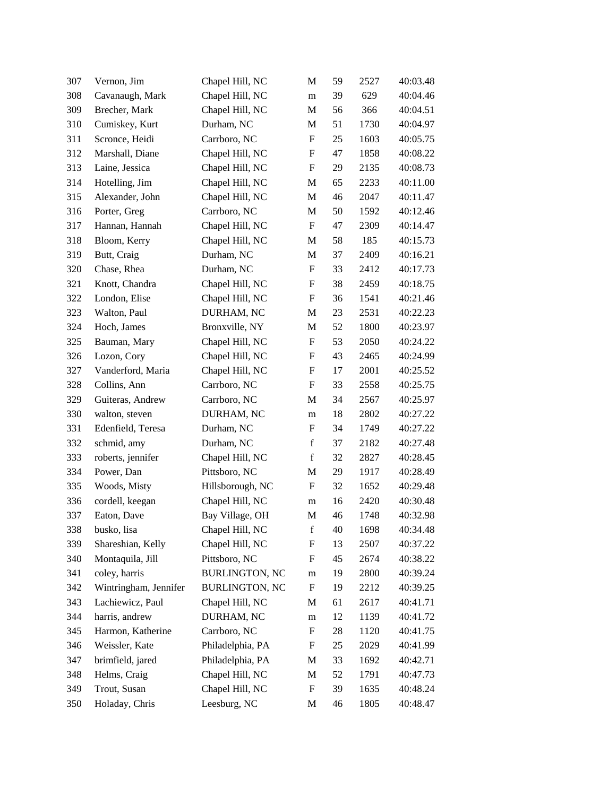| 307 | Vernon, Jim           | Chapel Hill, NC       | M                         | 59 | 2527 | 40:03.48 |
|-----|-----------------------|-----------------------|---------------------------|----|------|----------|
| 308 | Cavanaugh, Mark       | Chapel Hill, NC       | m                         | 39 | 629  | 40:04.46 |
| 309 | Brecher, Mark         | Chapel Hill, NC       | M                         | 56 | 366  | 40:04.51 |
| 310 | Cumiskey, Kurt        | Durham, NC            | M                         | 51 | 1730 | 40:04.97 |
| 311 | Scronce, Heidi        | Carrboro, NC          | $\boldsymbol{F}$          | 25 | 1603 | 40:05.75 |
| 312 | Marshall, Diane       | Chapel Hill, NC       | $\boldsymbol{F}$          | 47 | 1858 | 40:08.22 |
| 313 | Laine, Jessica        | Chapel Hill, NC       | F                         | 29 | 2135 | 40:08.73 |
| 314 | Hotelling, Jim        | Chapel Hill, NC       | M                         | 65 | 2233 | 40:11.00 |
| 315 | Alexander, John       | Chapel Hill, NC       | M                         | 46 | 2047 | 40:11.47 |
| 316 | Porter, Greg          | Carrboro, NC          | M                         | 50 | 1592 | 40:12.46 |
| 317 | Hannan, Hannah        | Chapel Hill, NC       | $\boldsymbol{\mathrm{F}}$ | 47 | 2309 | 40:14.47 |
| 318 | Bloom, Kerry          | Chapel Hill, NC       | M                         | 58 | 185  | 40:15.73 |
| 319 | Butt, Craig           | Durham, NC            | M                         | 37 | 2409 | 40:16.21 |
| 320 | Chase, Rhea           | Durham, NC            | $\boldsymbol{F}$          | 33 | 2412 | 40:17.73 |
| 321 | Knott, Chandra        | Chapel Hill, NC       | $\boldsymbol{F}$          | 38 | 2459 | 40:18.75 |
| 322 | London, Elise         | Chapel Hill, NC       | $\boldsymbol{\mathrm{F}}$ | 36 | 1541 | 40:21.46 |
| 323 | Walton, Paul          | DURHAM, NC            | M                         | 23 | 2531 | 40:22.23 |
| 324 | Hoch, James           | Bronxville, NY        | M                         | 52 | 1800 | 40:23.97 |
| 325 | Bauman, Mary          | Chapel Hill, NC       | $\boldsymbol{F}$          | 53 | 2050 | 40:24.22 |
| 326 | Lozon, Cory           | Chapel Hill, NC       | $\boldsymbol{F}$          | 43 | 2465 | 40:24.99 |
| 327 | Vanderford, Maria     | Chapel Hill, NC       | F                         | 17 | 2001 | 40:25.52 |
| 328 | Collins, Ann          | Carrboro, NC          | F                         | 33 | 2558 | 40:25.75 |
| 329 | Guiteras, Andrew      | Carrboro, NC          | M                         | 34 | 2567 | 40:25.97 |
| 330 | walton, steven        | DURHAM, NC            | m                         | 18 | 2802 | 40:27.22 |
| 331 | Edenfield, Teresa     | Durham, NC            | $\boldsymbol{\mathrm{F}}$ | 34 | 1749 | 40:27.22 |
| 332 | schmid, amy           | Durham, NC            | $\mathbf f$               | 37 | 2182 | 40:27.48 |
| 333 | roberts, jennifer     | Chapel Hill, NC       | $\mathbf f$               | 32 | 2827 | 40:28.45 |
| 334 | Power, Dan            | Pittsboro, NC         | M                         | 29 | 1917 | 40:28.49 |
| 335 | Woods, Misty          | Hillsborough, NC      | $\boldsymbol{F}$          | 32 | 1652 | 40:29.48 |
| 336 | cordell, keegan       | Chapel Hill, NC       | m                         | 16 | 2420 | 40:30.48 |
| 337 | Eaton, Dave           | Bay Village, OH       | M                         | 46 | 1748 | 40:32.98 |
| 338 | busko, lisa           | Chapel Hill, NC       | f                         | 40 | 1698 | 40:34.48 |
| 339 | Shareshian, Kelly     | Chapel Hill, NC       | F                         | 13 | 2507 | 40:37.22 |
| 340 | Montaquila, Jill      | Pittsboro, NC         | F                         | 45 | 2674 | 40:38.22 |
| 341 | coley, harris         | <b>BURLINGTON, NC</b> | m                         | 19 | 2800 | 40:39.24 |
| 342 | Wintringham, Jennifer | <b>BURLINGTON, NC</b> | $\boldsymbol{F}$          | 19 | 2212 | 40:39.25 |
| 343 | Lachiewicz, Paul      | Chapel Hill, NC       | M                         | 61 | 2617 | 40:41.71 |
| 344 | harris, andrew        | DURHAM, NC            | m                         | 12 | 1139 | 40:41.72 |
| 345 | Harmon, Katherine     | Carrboro, NC          | $\boldsymbol{F}$          | 28 | 1120 | 40:41.75 |
| 346 | Weissler, Kate        | Philadelphia, PA      | F                         | 25 | 2029 | 40:41.99 |
| 347 | brimfield, jared      | Philadelphia, PA      | M                         | 33 | 1692 | 40:42.71 |
| 348 | Helms, Craig          | Chapel Hill, NC       | M                         | 52 | 1791 | 40:47.73 |
| 349 | Trout, Susan          | Chapel Hill, NC       | F                         | 39 | 1635 | 40:48.24 |
| 350 | Holaday, Chris        | Leesburg, NC          | M                         | 46 | 1805 | 40:48.47 |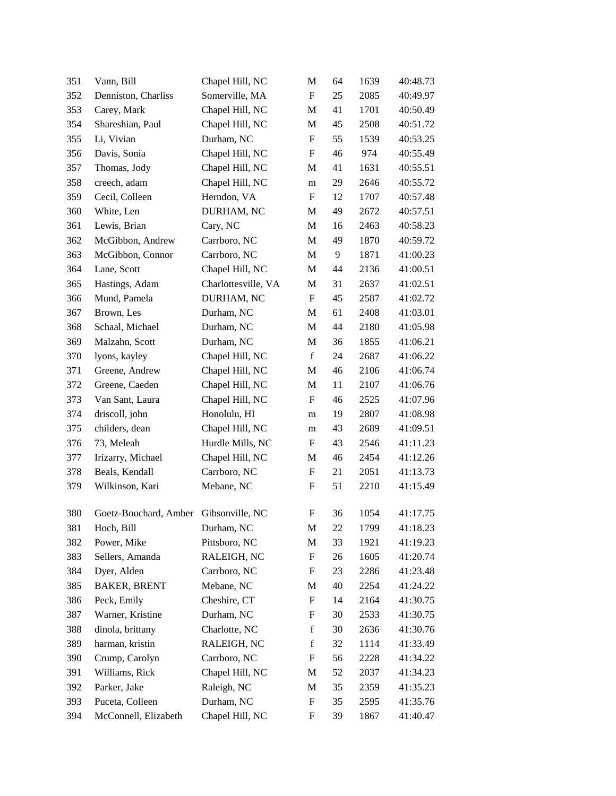| 351 | Vann, Bill                            | Chapel Hill, NC     | M           | 64 | 1639 | 40:48.73 |
|-----|---------------------------------------|---------------------|-------------|----|------|----------|
| 352 | Denniston, Charliss                   | Somerville, MA      | F           | 25 | 2085 | 40:49.97 |
| 353 | Carey, Mark                           | Chapel Hill, NC     | M           | 41 | 1701 | 40:50.49 |
| 354 | Shareshian, Paul                      | Chapel Hill, NC     | M           | 45 | 2508 | 40:51.72 |
| 355 | Li, Vivian                            | Durham, NC          | F           | 55 | 1539 | 40:53.25 |
| 356 | Davis, Sonia                          | Chapel Hill, NC     | ${\rm F}$   | 46 | 974  | 40:55.49 |
| 357 | Thomas, Jody                          | Chapel Hill, NC     | M           | 41 | 1631 | 40:55.51 |
| 358 | creech, adam                          | Chapel Hill, NC     | m           | 29 | 2646 | 40:55.72 |
| 359 | Cecil, Colleen                        | Herndon, VA         | ${\rm F}$   | 12 | 1707 | 40:57.48 |
| 360 | White, Len                            | DURHAM, NC          | M           | 49 | 2672 | 40:57.51 |
| 361 | Lewis, Brian                          | Cary, NC            | M           | 16 | 2463 | 40:58.23 |
| 362 | McGibbon, Andrew                      | Carrboro, NC        | M           | 49 | 1870 | 40:59.72 |
| 363 | McGibbon, Connor                      | Carrboro, NC        | M           | 9  | 1871 | 41:00.23 |
| 364 | Lane, Scott                           | Chapel Hill, NC     | M           | 44 | 2136 | 41:00.51 |
| 365 | Hastings, Adam                        | Charlottesville, VA | M           | 31 | 2637 | 41:02.51 |
| 366 | Mund, Pamela                          | DURHAM, NC          | ${\rm F}$   | 45 | 2587 | 41:02.72 |
| 367 | Brown, Les                            | Durham, NC          | M           | 61 | 2408 | 41:03.01 |
| 368 | Schaal, Michael                       | Durham, NC          | M           | 44 | 2180 | 41:05.98 |
| 369 | Malzahn, Scott                        | Durham, NC          | M           | 36 | 1855 | 41:06.21 |
| 370 | lyons, kayley                         | Chapel Hill, NC     | $\mathbf f$ | 24 | 2687 | 41:06.22 |
| 371 | Greene, Andrew                        | Chapel Hill, NC     | M           | 46 | 2106 | 41:06.74 |
| 372 | Greene, Caeden                        | Chapel Hill, NC     | M           | 11 | 2107 | 41:06.76 |
| 373 | Van Sant, Laura                       | Chapel Hill, NC     | F           | 46 | 2525 | 41:07.96 |
| 374 | driscoll, john                        | Honolulu, HI        | m           | 19 | 2807 | 41:08.98 |
| 375 | childers, dean                        | Chapel Hill, NC     | m           | 43 | 2689 | 41:09.51 |
| 376 | 73, Meleah                            | Hurdle Mills, NC    | F           | 43 | 2546 | 41:11.23 |
| 377 | Irizarry, Michael                     | Chapel Hill, NC     | M           | 46 | 2454 | 41:12.26 |
| 378 | Beals, Kendall                        | Carrboro, NC        | F           | 21 | 2051 | 41:13.73 |
| 379 | Wilkinson, Kari                       | Mebane, NC          | ${\rm F}$   | 51 | 2210 | 41:15.49 |
| 380 | Goetz-Bouchard, Amber Gibsonville, NC |                     | F           | 36 | 1054 | 41:17.75 |
| 381 | Hoch, Bill                            | Durham, NC          | M           | 22 | 1799 | 41:18.23 |
| 382 | Power, Mike                           | Pittsboro, NC       | M           | 33 | 1921 | 41:19.23 |
| 383 | Sellers, Amanda                       | RALEIGH, NC         | ${\rm F}$   | 26 | 1605 | 41:20.74 |
| 384 | Dyer, Alden                           | Carrboro, NC        | F           | 23 | 2286 | 41:23.48 |
| 385 | <b>BAKER, BRENT</b>                   | Mebane, NC          | M           | 40 | 2254 | 41:24.22 |
| 386 | Peck, Emily                           | Cheshire, CT        | ${\rm F}$   | 14 | 2164 | 41:30.75 |
| 387 | Warner, Kristine                      | Durham, NC          | ${\rm F}$   | 30 | 2533 | 41:30.75 |
| 388 | dinola, brittany                      | Charlotte, NC       | $\mathbf f$ | 30 | 2636 | 41:30.76 |
| 389 | harman, kristin                       | RALEIGH, NC         | $\mathbf f$ | 32 | 1114 | 41:33.49 |
| 390 | Crump, Carolyn                        | Carrboro, NC        | F           | 56 | 2228 | 41:34.22 |
| 391 | Williams, Rick                        | Chapel Hill, NC     | M           | 52 | 2037 | 41:34.23 |
| 392 | Parker, Jake                          | Raleigh, NC         | M           | 35 | 2359 | 41:35.23 |
| 393 | Puceta, Colleen                       | Durham, NC          | ${\rm F}$   | 35 | 2595 | 41:35.76 |
| 394 | McConnell, Elizabeth                  | Chapel Hill, NC     | ${\rm F}$   | 39 | 1867 | 41:40.47 |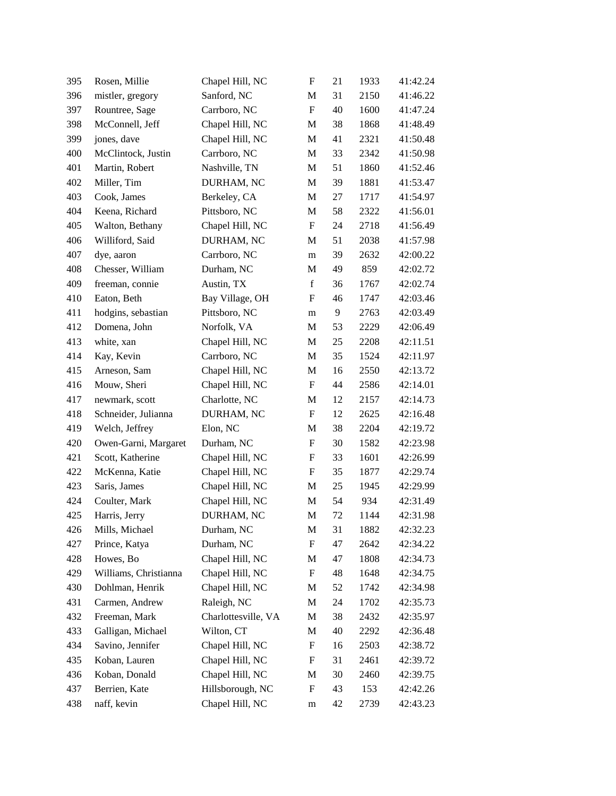| 395 | Rosen, Millie         | Chapel Hill, NC     | ${\rm F}$                 | 21 | 1933 | 41:42.24 |
|-----|-----------------------|---------------------|---------------------------|----|------|----------|
| 396 | mistler, gregory      | Sanford, NC         | M                         | 31 | 2150 | 41:46.22 |
| 397 | Rountree, Sage        | Carrboro, NC        | $\boldsymbol{\mathrm{F}}$ | 40 | 1600 | 41:47.24 |
| 398 | McConnell, Jeff       | Chapel Hill, NC     | M                         | 38 | 1868 | 41:48.49 |
| 399 | jones, dave           | Chapel Hill, NC     | M                         | 41 | 2321 | 41:50.48 |
| 400 | McClintock, Justin    | Carrboro, NC        | M                         | 33 | 2342 | 41:50.98 |
| 401 | Martin, Robert        | Nashville, TN       | M                         | 51 | 1860 | 41:52.46 |
| 402 | Miller, Tim           | DURHAM, NC          | M                         | 39 | 1881 | 41:53.47 |
| 403 | Cook, James           | Berkeley, CA        | M                         | 27 | 1717 | 41:54.97 |
| 404 | Keena, Richard        | Pittsboro, NC       | M                         | 58 | 2322 | 41:56.01 |
| 405 | Walton, Bethany       | Chapel Hill, NC     | $\boldsymbol{\mathrm{F}}$ | 24 | 2718 | 41:56.49 |
| 406 | Williford, Said       | DURHAM, NC          | M                         | 51 | 2038 | 41:57.98 |
| 407 | dye, aaron            | Carrboro, NC        | m                         | 39 | 2632 | 42:00.22 |
| 408 | Chesser, William      | Durham, NC          | M                         | 49 | 859  | 42:02.72 |
| 409 | freeman, connie       | Austin, TX          | $\mathbf f$               | 36 | 1767 | 42:02.74 |
| 410 | Eaton, Beth           | Bay Village, OH     | F                         | 46 | 1747 | 42:03.46 |
| 411 | hodgins, sebastian    | Pittsboro, NC       | m                         | 9  | 2763 | 42:03.49 |
| 412 | Domena, John          | Norfolk, VA         | M                         | 53 | 2229 | 42:06.49 |
| 413 | white, xan            | Chapel Hill, NC     | M                         | 25 | 2208 | 42:11.51 |
| 414 | Kay, Kevin            | Carrboro, NC        | M                         | 35 | 1524 | 42:11.97 |
| 415 | Arneson, Sam          | Chapel Hill, NC     | M                         | 16 | 2550 | 42:13.72 |
| 416 | Mouw, Sheri           | Chapel Hill, NC     | F                         | 44 | 2586 | 42:14.01 |
| 417 | newmark, scott        | Charlotte, NC       | M                         | 12 | 2157 | 42:14.73 |
| 418 | Schneider, Julianna   | DURHAM, NC          | ${\bf F}$                 | 12 | 2625 | 42:16.48 |
| 419 | Welch, Jeffrey        | Elon, NC            | M                         | 38 | 2204 | 42:19.72 |
| 420 | Owen-Garni, Margaret  | Durham, NC          | ${\rm F}$                 | 30 | 1582 | 42:23.98 |
| 421 | Scott, Katherine      | Chapel Hill, NC     | F                         | 33 | 1601 | 42:26.99 |
| 422 | McKenna, Katie        | Chapel Hill, NC     | $\boldsymbol{\mathrm{F}}$ | 35 | 1877 | 42:29.74 |
| 423 | Saris, James          | Chapel Hill, NC     | M                         | 25 | 1945 | 42:29.99 |
| 424 | Coulter, Mark         | Chapel Hill, NC     | M                         | 54 | 934  | 42:31.49 |
| 425 | Harris, Jerry         | DURHAM, NC          | M                         | 72 | 1144 | 42:31.98 |
| 426 | Mills, Michael        | Durham, NC          | M                         | 31 | 1882 | 42:32.23 |
| 427 | Prince, Katya         | Durham, NC          | ${\rm F}$                 | 47 | 2642 | 42:34.22 |
| 428 | Howes, Bo             | Chapel Hill, NC     | M                         | 47 | 1808 | 42:34.73 |
| 429 | Williams, Christianna | Chapel Hill, NC     | F                         | 48 | 1648 | 42:34.75 |
| 430 | Dohlman, Henrik       | Chapel Hill, NC     | M                         | 52 | 1742 | 42:34.98 |
| 431 | Carmen, Andrew        | Raleigh, NC         | M                         | 24 | 1702 | 42:35.73 |
| 432 | Freeman, Mark         | Charlottesville, VA | M                         | 38 | 2432 | 42:35.97 |
| 433 | Galligan, Michael     | Wilton, CT          | M                         | 40 | 2292 | 42:36.48 |
| 434 | Savino, Jennifer      | Chapel Hill, NC     | F                         | 16 | 2503 | 42:38.72 |
| 435 | Koban, Lauren         | Chapel Hill, NC     | ${\rm F}$                 | 31 | 2461 | 42:39.72 |
| 436 | Koban, Donald         | Chapel Hill, NC     | M                         | 30 | 2460 | 42:39.75 |
| 437 | Berrien, Kate         | Hillsborough, NC    | ${\rm F}$                 | 43 | 153  | 42:42.26 |
| 438 | naff, kevin           | Chapel Hill, NC     | m                         | 42 | 2739 | 42:43.23 |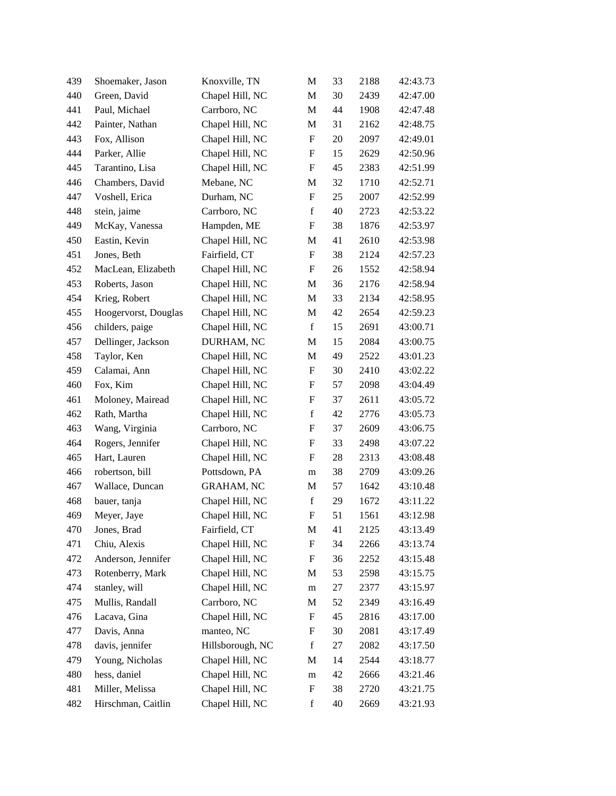| 439 | Shoemaker, Jason     | Knoxville, TN     | M                         | 33 | 2188 | 42:43.73 |
|-----|----------------------|-------------------|---------------------------|----|------|----------|
| 440 | Green, David         | Chapel Hill, NC   | M                         | 30 | 2439 | 42:47.00 |
| 441 | Paul, Michael        | Carrboro, NC      | M                         | 44 | 1908 | 42:47.48 |
| 442 | Painter, Nathan      | Chapel Hill, NC   | M                         | 31 | 2162 | 42:48.75 |
| 443 | Fox, Allison         | Chapel Hill, NC   | $\boldsymbol{\mathrm{F}}$ | 20 | 2097 | 42:49.01 |
| 444 | Parker, Allie        | Chapel Hill, NC   | ${\bf F}$                 | 15 | 2629 | 42:50.96 |
| 445 | Tarantino, Lisa      | Chapel Hill, NC   | F                         | 45 | 2383 | 42:51.99 |
| 446 | Chambers, David      | Mebane, NC        | M                         | 32 | 1710 | 42:52.71 |
| 447 | Voshell, Erica       | Durham, NC        | ${\rm F}$                 | 25 | 2007 | 42:52.99 |
| 448 | stein, jaime         | Carrboro, NC      | $\mathbf f$               | 40 | 2723 | 42:53.22 |
| 449 | McKay, Vanessa       | Hampden, ME       | ${\rm F}$                 | 38 | 1876 | 42:53.97 |
| 450 | Eastin, Kevin        | Chapel Hill, NC   | M                         | 41 | 2610 | 42:53.98 |
| 451 | Jones, Beth          | Fairfield, CT     | ${\rm F}$                 | 38 | 2124 | 42:57.23 |
| 452 | MacLean, Elizabeth   | Chapel Hill, NC   | $\boldsymbol{\mathrm{F}}$ | 26 | 1552 | 42:58.94 |
| 453 | Roberts, Jason       | Chapel Hill, NC   | M                         | 36 | 2176 | 42:58.94 |
| 454 | Krieg, Robert        | Chapel Hill, NC   | M                         | 33 | 2134 | 42:58.95 |
| 455 | Hoogervorst, Douglas | Chapel Hill, NC   | M                         | 42 | 2654 | 42:59.23 |
| 456 | childers, paige      | Chapel Hill, NC   | $\mathbf f$               | 15 | 2691 | 43:00.71 |
| 457 | Dellinger, Jackson   | DURHAM, NC        | M                         | 15 | 2084 | 43:00.75 |
| 458 | Taylor, Ken          | Chapel Hill, NC   | M                         | 49 | 2522 | 43:01.23 |
| 459 | Calamai, Ann         | Chapel Hill, NC   | ${\rm F}$                 | 30 | 2410 | 43:02.22 |
| 460 | Fox, Kim             | Chapel Hill, NC   | F                         | 57 | 2098 | 43:04.49 |
| 461 | Moloney, Mairead     | Chapel Hill, NC   | F                         | 37 | 2611 | 43:05.72 |
| 462 | Rath, Martha         | Chapel Hill, NC   | $\mathbf f$               | 42 | 2776 | 43:05.73 |
| 463 | Wang, Virginia       | Carrboro, NC      | $\boldsymbol{\mathrm{F}}$ | 37 | 2609 | 43:06.75 |
| 464 | Rogers, Jennifer     | Chapel Hill, NC   | ${\bf F}$                 | 33 | 2498 | 43:07.22 |
| 465 | Hart, Lauren         | Chapel Hill, NC   | F                         | 28 | 2313 | 43:08.48 |
| 466 | robertson, bill      | Pottsdown, PA     | m                         | 38 | 2709 | 43:09.26 |
| 467 | Wallace, Duncan      | <b>GRAHAM, NC</b> | M                         | 57 | 1642 | 43:10.48 |
| 468 | bauer, tanja         | Chapel Hill, NC   | $\mathbf f$               | 29 | 1672 | 43:11.22 |
| 469 | Meyer, Jaye          | Chapel Hill, NC   | ${\bf F}$                 | 51 | 1561 | 43:12.98 |
| 470 | Jones, Brad          | Fairfield, CT     | M                         | 41 | 2125 | 43:13.49 |
| 471 | Chiu, Alexis         | Chapel Hill, NC   | F                         | 34 | 2266 | 43:13.74 |
| 472 | Anderson, Jennifer   | Chapel Hill, NC   | F                         | 36 | 2252 | 43:15.48 |
| 473 | Rotenberry, Mark     | Chapel Hill, NC   | M                         | 53 | 2598 | 43:15.75 |
| 474 | stanley, will        | Chapel Hill, NC   | m                         | 27 | 2377 | 43:15.97 |
| 475 | Mullis, Randall      | Carrboro, NC      | M                         | 52 | 2349 | 43:16.49 |
| 476 | Lacava, Gina         | Chapel Hill, NC   | F                         | 45 | 2816 | 43:17.00 |
| 477 | Davis, Anna          | manteo, NC        | F                         | 30 | 2081 | 43:17.49 |
| 478 | davis, jennifer      | Hillsborough, NC  | $\mathbf f$               | 27 | 2082 | 43:17.50 |
| 479 | Young, Nicholas      | Chapel Hill, NC   | M                         | 14 | 2544 | 43:18.77 |
| 480 | hess, daniel         | Chapel Hill, NC   | m                         | 42 | 2666 | 43:21.46 |
| 481 | Miller, Melissa      | Chapel Hill, NC   | F                         | 38 | 2720 | 43:21.75 |
| 482 | Hirschman, Caitlin   | Chapel Hill, NC   | $\mathbf f$               | 40 | 2669 | 43:21.93 |
|     |                      |                   |                           |    |      |          |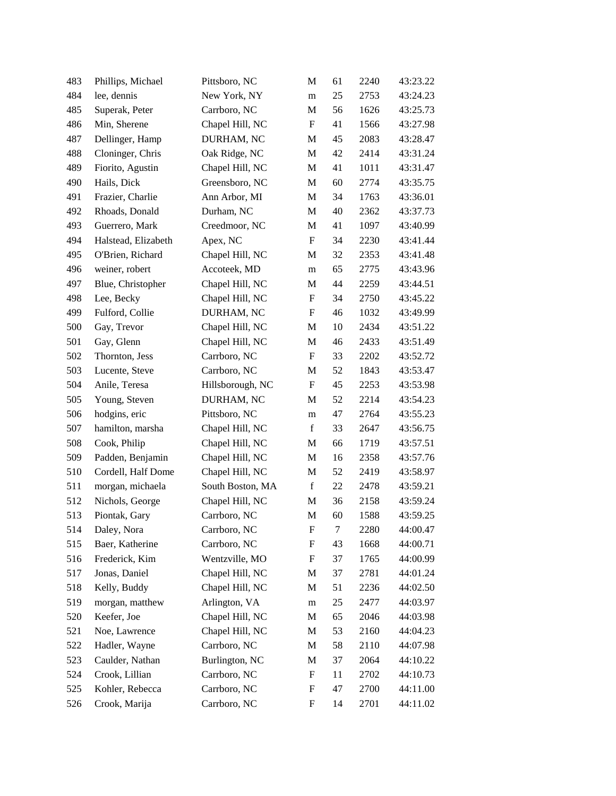| 483 | Phillips, Michael   | Pittsboro, NC    | M                         | 61 | 2240 | 43:23.22 |
|-----|---------------------|------------------|---------------------------|----|------|----------|
| 484 | lee, dennis         | New York, NY     | m                         | 25 | 2753 | 43:24.23 |
| 485 | Superak, Peter      | Carrboro, NC     | $\mathbf M$               | 56 | 1626 | 43:25.73 |
| 486 | Min, Sherene        | Chapel Hill, NC  | F                         | 41 | 1566 | 43:27.98 |
| 487 | Dellinger, Hamp     | DURHAM, NC       | M                         | 45 | 2083 | 43:28.47 |
| 488 | Cloninger, Chris    | Oak Ridge, NC    | M                         | 42 | 2414 | 43:31.24 |
| 489 | Fiorito, Agustin    | Chapel Hill, NC  | M                         | 41 | 1011 | 43:31.47 |
| 490 | Hails, Dick         | Greensboro, NC   | $\mathbf M$               | 60 | 2774 | 43:35.75 |
| 491 | Frazier, Charlie    | Ann Arbor, MI    | M                         | 34 | 1763 | 43:36.01 |
| 492 | Rhoads, Donald      | Durham, NC       | M                         | 40 | 2362 | 43:37.73 |
| 493 | Guerrero, Mark      | Creedmoor, NC    | M                         | 41 | 1097 | 43:40.99 |
| 494 | Halstead, Elizabeth | Apex, NC         | F                         | 34 | 2230 | 43:41.44 |
| 495 | O'Brien, Richard    | Chapel Hill, NC  | M                         | 32 | 2353 | 43:41.48 |
| 496 | weiner, robert      | Accoteek, MD     | m                         | 65 | 2775 | 43:43.96 |
| 497 | Blue, Christopher   | Chapel Hill, NC  | M                         | 44 | 2259 | 43:44.51 |
| 498 | Lee, Becky          | Chapel Hill, NC  | $\boldsymbol{\mathrm{F}}$ | 34 | 2750 | 43:45.22 |
| 499 | Fulford, Collie     | DURHAM, NC       | F                         | 46 | 1032 | 43:49.99 |
| 500 | Gay, Trevor         | Chapel Hill, NC  | M                         | 10 | 2434 | 43:51.22 |
| 501 | Gay, Glenn          | Chapel Hill, NC  | M                         | 46 | 2433 | 43:51.49 |
| 502 | Thornton, Jess      | Carrboro, NC     | F                         | 33 | 2202 | 43:52.72 |
| 503 | Lucente, Steve      | Carrboro, NC     | M                         | 52 | 1843 | 43:53.47 |
| 504 | Anile, Teresa       | Hillsborough, NC | $\boldsymbol{\mathrm{F}}$ | 45 | 2253 | 43:53.98 |
| 505 | Young, Steven       | DURHAM, NC       | M                         | 52 | 2214 | 43:54.23 |
| 506 | hodgins, eric       | Pittsboro, NC    | m                         | 47 | 2764 | 43:55.23 |
| 507 | hamilton, marsha    | Chapel Hill, NC  | $\mathbf f$               | 33 | 2647 | 43:56.75 |
| 508 | Cook, Philip        | Chapel Hill, NC  | M                         | 66 | 1719 | 43:57.51 |
| 509 | Padden, Benjamin    | Chapel Hill, NC  | M                         | 16 | 2358 | 43:57.76 |
| 510 | Cordell, Half Dome  | Chapel Hill, NC  | $\mathbf M$               | 52 | 2419 | 43:58.97 |
| 511 | morgan, michaela    | South Boston, MA | $\mathbf f$               | 22 | 2478 | 43:59.21 |
| 512 | Nichols, George     | Chapel Hill, NC  | M                         | 36 | 2158 | 43:59.24 |
| 513 | Piontak, Gary       | Carrboro, NC     | M                         | 60 | 1588 | 43:59.25 |
| 514 | Daley, Nora         | Carrboro, NC     | F                         | 7  | 2280 | 44:00.47 |
| 515 | Baer, Katherine     | Carrboro, NC     | F                         | 43 | 1668 | 44:00.71 |
| 516 | Frederick, Kim      | Wentzville, MO   | F                         | 37 | 1765 | 44:00.99 |
| 517 | Jonas, Daniel       | Chapel Hill, NC  | M                         | 37 | 2781 | 44:01.24 |
| 518 | Kelly, Buddy        | Chapel Hill, NC  | M                         | 51 | 2236 | 44:02.50 |
| 519 | morgan, matthew     | Arlington, VA    | m                         | 25 | 2477 | 44:03.97 |
| 520 | Keefer, Joe         | Chapel Hill, NC  | $\mathbf M$               | 65 | 2046 | 44:03.98 |
| 521 | Noe, Lawrence       | Chapel Hill, NC  | M                         | 53 | 2160 | 44:04.23 |
| 522 | Hadler, Wayne       | Carrboro, NC     | M                         | 58 | 2110 | 44:07.98 |
| 523 | Caulder, Nathan     | Burlington, NC   | M                         | 37 | 2064 | 44:10.22 |
| 524 | Crook, Lillian      | Carrboro, NC     | $\boldsymbol{\mathrm{F}}$ | 11 | 2702 | 44:10.73 |
| 525 | Kohler, Rebecca     | Carrboro, NC     | F                         | 47 | 2700 | 44:11.00 |
| 526 | Crook, Marija       | Carrboro, NC     | ${\rm F}$                 | 14 | 2701 | 44:11.02 |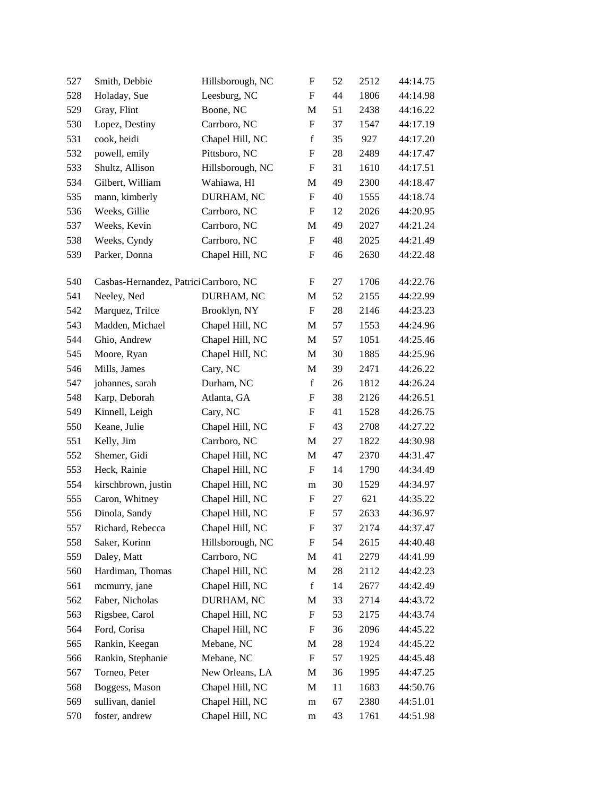| 527 | Smith, Debbie                          | Hillsborough, NC | $\boldsymbol{\mathrm{F}}$ | 52 | 2512 | 44:14.75 |
|-----|----------------------------------------|------------------|---------------------------|----|------|----------|
| 528 | Holaday, Sue                           | Leesburg, NC     | $\boldsymbol{\mathrm{F}}$ | 44 | 1806 | 44:14.98 |
| 529 | Gray, Flint                            | Boone, NC        | M                         | 51 | 2438 | 44:16.22 |
| 530 | Lopez, Destiny                         | Carrboro, NC     | ${\rm F}$                 | 37 | 1547 | 44:17.19 |
| 531 | cook, heidi                            | Chapel Hill, NC  | $\mathbf f$               | 35 | 927  | 44:17.20 |
| 532 | powell, emily                          | Pittsboro, NC    | ${\bf F}$                 | 28 | 2489 | 44:17.47 |
| 533 | Shultz, Allison                        | Hillsborough, NC | F                         | 31 | 1610 | 44:17.51 |
| 534 | Gilbert, William                       | Wahiawa, HI      | M                         | 49 | 2300 | 44:18.47 |
| 535 | mann, kimberly                         | DURHAM, NC       | F                         | 40 | 1555 | 44:18.74 |
| 536 | Weeks, Gillie                          | Carrboro, NC     | F                         | 12 | 2026 | 44:20.95 |
| 537 | Weeks, Kevin                           | Carrboro, NC     | M                         | 49 | 2027 | 44:21.24 |
| 538 | Weeks, Cyndy                           | Carrboro, NC     | $\boldsymbol{\mathrm{F}}$ | 48 | 2025 | 44:21.49 |
| 539 | Parker, Donna                          | Chapel Hill, NC  | ${\rm F}$                 | 46 | 2630 | 44:22.48 |
| 540 | Casbas-Hernandez, Patrici Carrboro, NC |                  | F                         | 27 | 1706 | 44:22.76 |
| 541 | Neeley, Ned                            | DURHAM, NC       | M                         | 52 | 2155 | 44:22.99 |
| 542 | Marquez, Trilce                        | Brooklyn, NY     | $\boldsymbol{\mathrm{F}}$ | 28 | 2146 | 44:23.23 |
| 543 | Madden, Michael                        | Chapel Hill, NC  | M                         | 57 | 1553 | 44:24.96 |
| 544 | Ghio, Andrew                           | Chapel Hill, NC  | M                         | 57 | 1051 | 44:25.46 |
| 545 | Moore, Ryan                            | Chapel Hill, NC  | M                         | 30 | 1885 | 44:25.96 |
| 546 | Mills, James                           | Cary, NC         | $\mathbf M$               | 39 | 2471 | 44:26.22 |
| 547 | johannes, sarah                        | Durham, NC       | $\mathbf f$               | 26 | 1812 | 44:26.24 |
| 548 | Karp, Deborah                          | Atlanta, GA      | F                         | 38 | 2126 | 44:26.51 |
| 549 | Kinnell, Leigh                         | Cary, NC         | ${\rm F}$                 | 41 | 1528 | 44:26.75 |
| 550 | Keane, Julie                           | Chapel Hill, NC  | $\boldsymbol{\mathrm{F}}$ | 43 | 2708 | 44:27.22 |
| 551 | Kelly, Jim                             | Carrboro, NC     | $\mathbf M$               | 27 | 1822 | 44:30.98 |
| 552 | Shemer, Gidi                           | Chapel Hill, NC  | M                         | 47 | 2370 | 44:31.47 |
| 553 | Heck, Rainie                           | Chapel Hill, NC  | F                         | 14 | 1790 | 44:34.49 |
| 554 | kirschbrown, justin                    | Chapel Hill, NC  | m                         | 30 | 1529 | 44:34.97 |
| 555 | Caron, Whitney                         | Chapel Hill, NC  | F                         | 27 | 621  | 44:35.22 |
| 556 | Dinola, Sandy                          | Chapel Hill, NC  | ${\rm F}$                 | 57 | 2633 | 44:36.97 |
| 557 | Richard, Rebecca                       | Chapel Hill, NC  | ${\bf F}$                 | 37 | 2174 | 44:37.47 |
| 558 | Saker, Korinn                          | Hillsborough, NC | F                         | 54 | 2615 | 44:40.48 |
| 559 | Daley, Matt                            | Carrboro, NC     | M                         | 41 | 2279 | 44:41.99 |
| 560 | Hardiman, Thomas                       | Chapel Hill, NC  | M                         | 28 | 2112 | 44:42.23 |
| 561 | mcmurry, jane                          | Chapel Hill, NC  | $\mathbf f$               | 14 | 2677 | 44:42.49 |
| 562 | Faber, Nicholas                        | DURHAM, NC       | M                         | 33 | 2714 | 44:43.72 |
| 563 | Rigsbee, Carol                         | Chapel Hill, NC  | ${\bf F}$                 | 53 | 2175 | 44:43.74 |
| 564 | Ford, Corisa                           | Chapel Hill, NC  | ${\rm F}$                 | 36 | 2096 | 44:45.22 |
| 565 | Rankin, Keegan                         | Mebane, NC       | M                         | 28 | 1924 | 44:45.22 |
| 566 | Rankin, Stephanie                      | Mebane, NC       | ${\rm F}$                 | 57 | 1925 | 44:45.48 |
| 567 | Torneo, Peter                          | New Orleans, LA  | M                         | 36 | 1995 | 44:47.25 |
| 568 | Boggess, Mason                         | Chapel Hill, NC  | M                         | 11 | 1683 | 44:50.76 |
| 569 | sullivan, daniel                       | Chapel Hill, NC  | m                         | 67 | 2380 | 44:51.01 |
| 570 | foster, andrew                         | Chapel Hill, NC  | m                         | 43 | 1761 | 44:51.98 |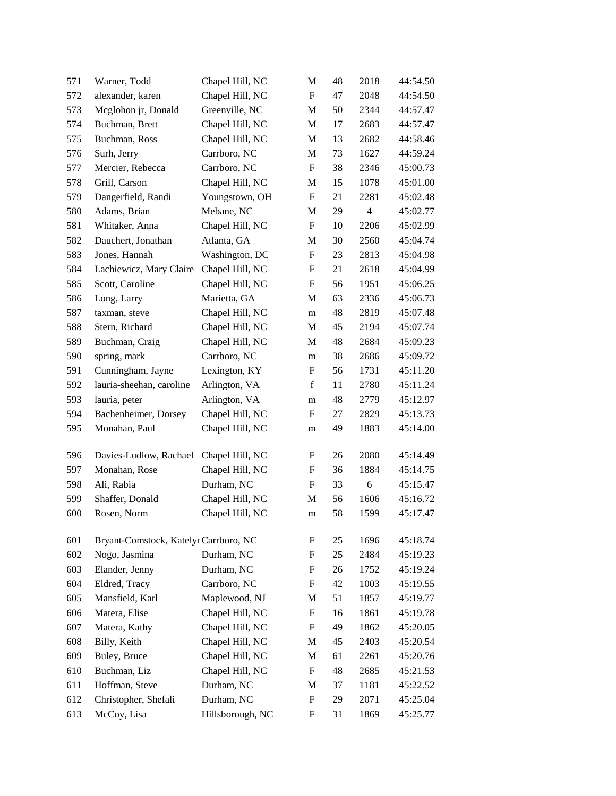| 571 | Warner, Todd                          | Chapel Hill, NC  | M                         | 48 | 2018           | 44:54.50 |
|-----|---------------------------------------|------------------|---------------------------|----|----------------|----------|
| 572 | alexander, karen                      | Chapel Hill, NC  | F                         | 47 | 2048           | 44:54.50 |
| 573 | Mcglohon jr, Donald                   | Greenville, NC   | M                         | 50 | 2344           | 44:57.47 |
| 574 | Buchman, Brett                        | Chapel Hill, NC  | M                         | 17 | 2683           | 44:57.47 |
| 575 | Buchman, Ross                         | Chapel Hill, NC  | M                         | 13 | 2682           | 44:58.46 |
| 576 | Surh, Jerry                           | Carrboro, NC     | M                         | 73 | 1627           | 44:59.24 |
| 577 | Mercier, Rebecca                      | Carrboro, NC     | F                         | 38 | 2346           | 45:00.73 |
| 578 | Grill, Carson                         | Chapel Hill, NC  | M                         | 15 | 1078           | 45:01.00 |
| 579 | Dangerfield, Randi                    | Youngstown, OH   | $\boldsymbol{\mathrm{F}}$ | 21 | 2281           | 45:02.48 |
| 580 | Adams, Brian                          | Mebane, NC       | M                         | 29 | $\overline{4}$ | 45:02.77 |
| 581 | Whitaker, Anna                        | Chapel Hill, NC  | $\boldsymbol{\mathrm{F}}$ | 10 | 2206           | 45:02.99 |
| 582 | Dauchert, Jonathan                    | Atlanta, GA      | M                         | 30 | 2560           | 45:04.74 |
| 583 | Jones, Hannah                         | Washington, DC   | $\boldsymbol{\mathrm{F}}$ | 23 | 2813           | 45:04.98 |
| 584 | Lachiewicz, Mary Claire               | Chapel Hill, NC  | $\boldsymbol{F}$          | 21 | 2618           | 45:04.99 |
| 585 | Scott, Caroline                       | Chapel Hill, NC  | F                         | 56 | 1951           | 45:06.25 |
| 586 | Long, Larry                           | Marietta, GA     | M                         | 63 | 2336           | 45:06.73 |
| 587 | taxman, steve                         | Chapel Hill, NC  | m                         | 48 | 2819           | 45:07.48 |
| 588 | Stern, Richard                        | Chapel Hill, NC  | M                         | 45 | 2194           | 45:07.74 |
| 589 | Buchman, Craig                        | Chapel Hill, NC  | M                         | 48 | 2684           | 45:09.23 |
| 590 | spring, mark                          | Carrboro, NC     | m                         | 38 | 2686           | 45:09.72 |
| 591 | Cunningham, Jayne                     | Lexington, KY    | F                         | 56 | 1731           | 45:11.20 |
| 592 | lauria-sheehan, caroline              | Arlington, VA    | $\mathbf f$               | 11 | 2780           | 45:11.24 |
| 593 | lauria, peter                         | Arlington, VA    | m                         | 48 | 2779           | 45:12.97 |
| 594 | Bachenheimer, Dorsey                  | Chapel Hill, NC  | F                         | 27 | 2829           | 45:13.73 |
| 595 | Monahan, Paul                         | Chapel Hill, NC  | m                         | 49 | 1883           | 45:14.00 |
| 596 | Davies-Ludlow, Rachael                | Chapel Hill, NC  | F                         | 26 | 2080           | 45:14.49 |
| 597 | Monahan, Rose                         | Chapel Hill, NC  | F                         | 36 | 1884           | 45:14.75 |
| 598 | Ali, Rabia                            | Durham, NC       | F                         | 33 | 6              | 45:15.47 |
| 599 | Shaffer, Donald                       | Chapel Hill, NC  | M                         | 56 | 1606           | 45:16.72 |
| 600 | Rosen, Norm                           | Chapel Hill, NC  | m                         | 58 | 1599           | 45:17.47 |
| 601 | Bryant-Comstock, Katelyr Carrboro, NC |                  | $\boldsymbol{F}$          | 25 | 1696           | 45:18.74 |
| 602 | Nogo, Jasmina                         | Durham, NC       | $\boldsymbol{F}$          | 25 | 2484           | 45:19.23 |
| 603 | Elander, Jenny                        | Durham, NC       | F                         | 26 | 1752           | 45:19.24 |
| 604 | Eldred, Tracy                         | Carrboro, NC     | F                         | 42 | 1003           | 45:19.55 |
| 605 | Mansfield, Karl                       | Maplewood, NJ    | M                         | 51 | 1857           | 45:19.77 |
| 606 | Matera, Elise                         | Chapel Hill, NC  | $\boldsymbol{\mathrm{F}}$ | 16 | 1861           | 45:19.78 |
| 607 | Matera, Kathy                         | Chapel Hill, NC  | F                         | 49 | 1862           | 45:20.05 |
| 608 | Billy, Keith                          | Chapel Hill, NC  | M                         | 45 | 2403           | 45:20.54 |
| 609 | Buley, Bruce                          | Chapel Hill, NC  | M                         | 61 | 2261           | 45:20.76 |
| 610 | Buchman, Liz                          | Chapel Hill, NC  | F                         | 48 | 2685           | 45:21.53 |
| 611 | Hoffman, Steve                        | Durham, NC       | M                         | 37 | 1181           | 45:22.52 |
| 612 | Christopher, Shefali                  | Durham, NC       | $\boldsymbol{F}$          | 29 | 2071           | 45:25.04 |
| 613 | McCoy, Lisa                           | Hillsborough, NC | F                         | 31 | 1869           | 45:25.77 |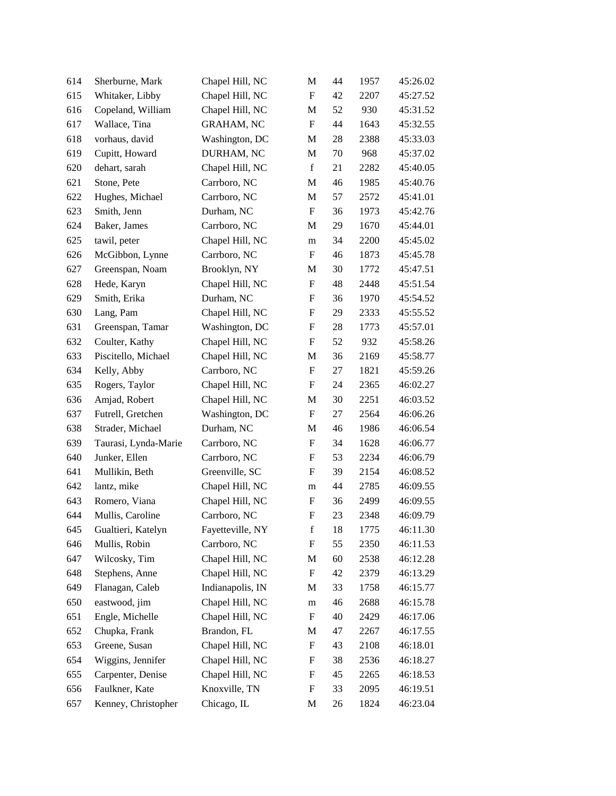| 614 | Sherburne, Mark      | Chapel Hill, NC   | M                         | 44 | 1957 | 45:26.02 |
|-----|----------------------|-------------------|---------------------------|----|------|----------|
| 615 | Whitaker, Libby      | Chapel Hill, NC   | $\boldsymbol{\mathrm{F}}$ | 42 | 2207 | 45:27.52 |
| 616 | Copeland, William    | Chapel Hill, NC   | M                         | 52 | 930  | 45:31.52 |
| 617 | Wallace, Tina        | <b>GRAHAM, NC</b> | $\boldsymbol{\mathrm{F}}$ | 44 | 1643 | 45:32.55 |
| 618 | vorhaus, david       | Washington, DC    | M                         | 28 | 2388 | 45:33.03 |
| 619 | Cupitt, Howard       | DURHAM, NC        | M                         | 70 | 968  | 45:37.02 |
| 620 | dehart, sarah        | Chapel Hill, NC   | f                         | 21 | 2282 | 45:40.05 |
| 621 | Stone, Pete          | Carrboro, NC      | M                         | 46 | 1985 | 45:40.76 |
| 622 | Hughes, Michael      | Carrboro, NC      | M                         | 57 | 2572 | 45:41.01 |
| 623 | Smith, Jenn          | Durham, NC        | $\boldsymbol{\mathrm{F}}$ | 36 | 1973 | 45:42.76 |
| 624 | Baker, James         | Carrboro, NC      | M                         | 29 | 1670 | 45:44.01 |
| 625 | tawil, peter         | Chapel Hill, NC   | m                         | 34 | 2200 | 45:45.02 |
| 626 | McGibbon, Lynne      | Carrboro, NC      | $\boldsymbol{\mathrm{F}}$ | 46 | 1873 | 45:45.78 |
| 627 | Greenspan, Noam      | Brooklyn, NY      | M                         | 30 | 1772 | 45:47.51 |
| 628 | Hede, Karyn          | Chapel Hill, NC   | $\boldsymbol{\mathrm{F}}$ | 48 | 2448 | 45:51.54 |
| 629 | Smith, Erika         | Durham, NC        | F                         | 36 | 1970 | 45:54.52 |
| 630 | Lang, Pam            | Chapel Hill, NC   | F                         | 29 | 2333 | 45:55.52 |
| 631 | Greenspan, Tamar     | Washington, DC    | ${\bf F}$                 | 28 | 1773 | 45:57.01 |
| 632 | Coulter, Kathy       | Chapel Hill, NC   | $\boldsymbol{F}$          | 52 | 932  | 45:58.26 |
| 633 | Piscitello, Michael  | Chapel Hill, NC   | M                         | 36 | 2169 | 45:58.77 |
| 634 | Kelly, Abby          | Carrboro, NC      | ${\rm F}$                 | 27 | 1821 | 45:59.26 |
| 635 | Rogers, Taylor       | Chapel Hill, NC   | F                         | 24 | 2365 | 46:02.27 |
| 636 | Amjad, Robert        | Chapel Hill, NC   | M                         | 30 | 2251 | 46:03.52 |
| 637 | Futrell, Gretchen    | Washington, DC    | $\boldsymbol{F}$          | 27 | 2564 | 46:06.26 |
| 638 | Strader, Michael     | Durham, NC        | M                         | 46 | 1986 | 46:06.54 |
| 639 | Taurasi, Lynda-Marie | Carrboro, NC      | $\boldsymbol{\mathrm{F}}$ | 34 | 1628 | 46:06.77 |
| 640 | Junker, Ellen        | Carrboro, NC      | F                         | 53 | 2234 | 46:06.79 |
| 641 | Mullikin, Beth       | Greenville, SC    | F                         | 39 | 2154 | 46:08.52 |
| 642 | lantz, mike          | Chapel Hill, NC   | m                         | 44 | 2785 | 46:09.55 |
| 643 | Romero, Viana        | Chapel Hill, NC   | $\boldsymbol{\mathrm{F}}$ | 36 | 2499 | 46:09.55 |
| 644 | Mullis, Caroline     | Carrboro, NC      | ${\rm F}$                 | 23 | 2348 | 46:09.79 |
| 645 | Gualtieri, Katelyn   | Fayetteville, NY  | f                         | 18 | 1775 | 46:11.30 |
| 646 | Mullis, Robin        | Carrboro, NC      | ${\bf F}$                 | 55 | 2350 | 46:11.53 |
| 647 | Wilcosky, Tim        | Chapel Hill, NC   | M                         | 60 | 2538 | 46:12.28 |
| 648 | Stephens, Anne       | Chapel Hill, NC   | $\boldsymbol{\mathrm{F}}$ | 42 | 2379 | 46:13.29 |
| 649 | Flanagan, Caleb      | Indianapolis, IN  | M                         | 33 | 1758 | 46:15.77 |
| 650 | eastwood, jim        | Chapel Hill, NC   | m                         | 46 | 2688 | 46:15.78 |
| 651 | Engle, Michelle      | Chapel Hill, NC   | ${\rm F}$                 | 40 | 2429 | 46:17.06 |
| 652 | Chupka, Frank        | Brandon, FL       | M                         | 47 | 2267 | 46:17.55 |
| 653 | Greene, Susan        | Chapel Hill, NC   | ${\rm F}$                 | 43 | 2108 | 46:18.01 |
| 654 | Wiggins, Jennifer    | Chapel Hill, NC   | ${\rm F}$                 | 38 | 2536 | 46:18.27 |
| 655 | Carpenter, Denise    | Chapel Hill, NC   | F                         | 45 | 2265 | 46:18.53 |
| 656 | Faulkner, Kate       | Knoxville, TN     | $\boldsymbol{\mathrm{F}}$ | 33 | 2095 | 46:19.51 |
| 657 | Kenney, Christopher  | Chicago, IL       | M                         | 26 | 1824 | 46:23.04 |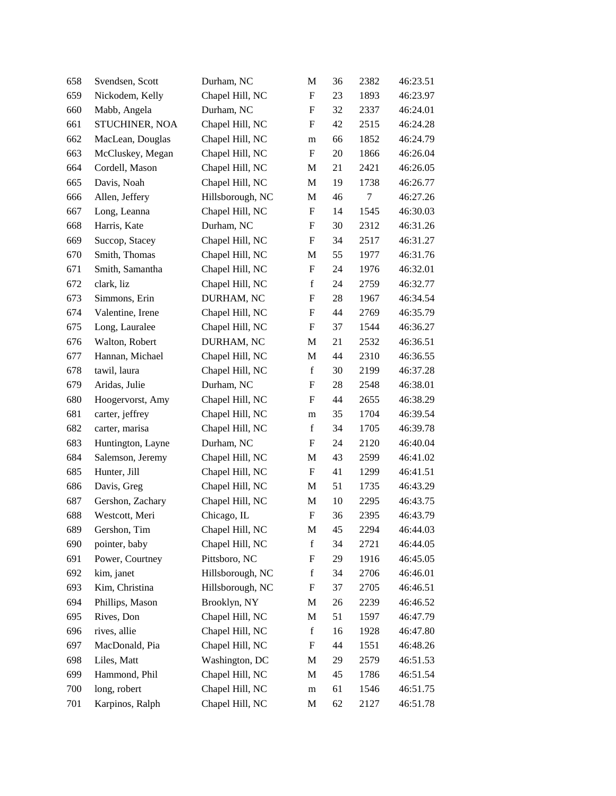| 658 | Svendsen, Scott   | Durham, NC       | M                         | 36 | 2382   | 46:23.51 |
|-----|-------------------|------------------|---------------------------|----|--------|----------|
| 659 | Nickodem, Kelly   | Chapel Hill, NC  | F                         | 23 | 1893   | 46:23.97 |
| 660 | Mabb, Angela      | Durham, NC       | F                         | 32 | 2337   | 46:24.01 |
| 661 | STUCHINER, NOA    | Chapel Hill, NC  | F                         | 42 | 2515   | 46:24.28 |
| 662 | MacLean, Douglas  | Chapel Hill, NC  | m                         | 66 | 1852   | 46:24.79 |
| 663 | McCluskey, Megan  | Chapel Hill, NC  | $\mathbf F$               | 20 | 1866   | 46:26.04 |
| 664 | Cordell, Mason    | Chapel Hill, NC  | M                         | 21 | 2421   | 46:26.05 |
| 665 | Davis, Noah       | Chapel Hill, NC  | M                         | 19 | 1738   | 46:26.77 |
| 666 | Allen, Jeffery    | Hillsborough, NC | M                         | 46 | $\tau$ | 46:27.26 |
| 667 | Long, Leanna      | Chapel Hill, NC  | $\boldsymbol{\mathrm{F}}$ | 14 | 1545   | 46:30.03 |
| 668 | Harris, Kate      | Durham, NC       | $\boldsymbol{\mathrm{F}}$ | 30 | 2312   | 46:31.26 |
| 669 | Succop, Stacey    | Chapel Hill, NC  | F                         | 34 | 2517   | 46:31.27 |
| 670 | Smith, Thomas     | Chapel Hill, NC  | M                         | 55 | 1977   | 46:31.76 |
| 671 | Smith, Samantha   | Chapel Hill, NC  | ${\bf F}$                 | 24 | 1976   | 46:32.01 |
| 672 | clark, liz        | Chapel Hill, NC  | $\mathbf f$               | 24 | 2759   | 46:32.77 |
| 673 | Simmons, Erin     | DURHAM, NC       | $\boldsymbol{\mathrm{F}}$ | 28 | 1967   | 46:34.54 |
| 674 | Valentine, Irene  | Chapel Hill, NC  | $\boldsymbol{\mathrm{F}}$ | 44 | 2769   | 46:35.79 |
| 675 | Long, Lauralee    | Chapel Hill, NC  | F                         | 37 | 1544   | 46:36.27 |
| 676 | Walton, Robert    | DURHAM, NC       | M                         | 21 | 2532   | 46:36.51 |
| 677 | Hannan, Michael   | Chapel Hill, NC  | M                         | 44 | 2310   | 46:36.55 |
| 678 | tawil, laura      | Chapel Hill, NC  | $\mathbf f$               | 30 | 2199   | 46:37.28 |
| 679 | Aridas, Julie     | Durham, NC       | F                         | 28 | 2548   | 46:38.01 |
| 680 | Hoogervorst, Amy  | Chapel Hill, NC  | F                         | 44 | 2655   | 46:38.29 |
| 681 | carter, jeffrey   | Chapel Hill, NC  | m                         | 35 | 1704   | 46:39.54 |
| 682 | carter, marisa    | Chapel Hill, NC  | $\mathbf f$               | 34 | 1705   | 46:39.78 |
| 683 | Huntington, Layne | Durham, NC       | $\boldsymbol{\mathrm{F}}$ | 24 | 2120   | 46:40.04 |
| 684 | Salemson, Jeremy  | Chapel Hill, NC  | M                         | 43 | 2599   | 46:41.02 |
| 685 | Hunter, Jill      | Chapel Hill, NC  | $\boldsymbol{\mathrm{F}}$ | 41 | 1299   | 46:41.51 |
| 686 | Davis, Greg       | Chapel Hill, NC  | M                         | 51 | 1735   | 46:43.29 |
| 687 | Gershon, Zachary  | Chapel Hill, NC  | M                         | 10 | 2295   | 46:43.75 |
| 688 | Westcott, Meri    | Chicago, IL      | $\boldsymbol{\mathrm{F}}$ | 36 | 2395   | 46:43.79 |
| 689 | Gershon, Tim      | Chapel Hill, NC  | M                         | 45 | 2294   | 46:44.03 |
| 690 | pointer, baby     | Chapel Hill, NC  | $\mathbf f$               | 34 | 2721   | 46:44.05 |
| 691 | Power, Courtney   | Pittsboro, NC    | $\boldsymbol{\mathrm{F}}$ | 29 | 1916   | 46:45.05 |
| 692 | kim, janet        | Hillsborough, NC | $\mathbf f$               | 34 | 2706   | 46:46.01 |
| 693 | Kim, Christina    | Hillsborough, NC | ${\rm F}$                 | 37 | 2705   | 46:46.51 |
| 694 | Phillips, Mason   | Brooklyn, NY     | M                         | 26 | 2239   | 46:46.52 |
| 695 | Rives, Don        | Chapel Hill, NC  | M                         | 51 | 1597   | 46:47.79 |
| 696 | rives, allie      | Chapel Hill, NC  | $\mathbf f$               | 16 | 1928   | 46:47.80 |
| 697 | MacDonald, Pia    | Chapel Hill, NC  | $\boldsymbol{\mathrm{F}}$ | 44 | 1551   | 46:48.26 |
| 698 | Liles, Matt       | Washington, DC   | M                         | 29 | 2579   | 46:51.53 |
| 699 | Hammond, Phil     | Chapel Hill, NC  | M                         | 45 | 1786   | 46:51.54 |
| 700 | long, robert      | Chapel Hill, NC  | m                         | 61 | 1546   | 46:51.75 |
| 701 | Karpinos, Ralph   | Chapel Hill, NC  | M                         | 62 | 2127   | 46:51.78 |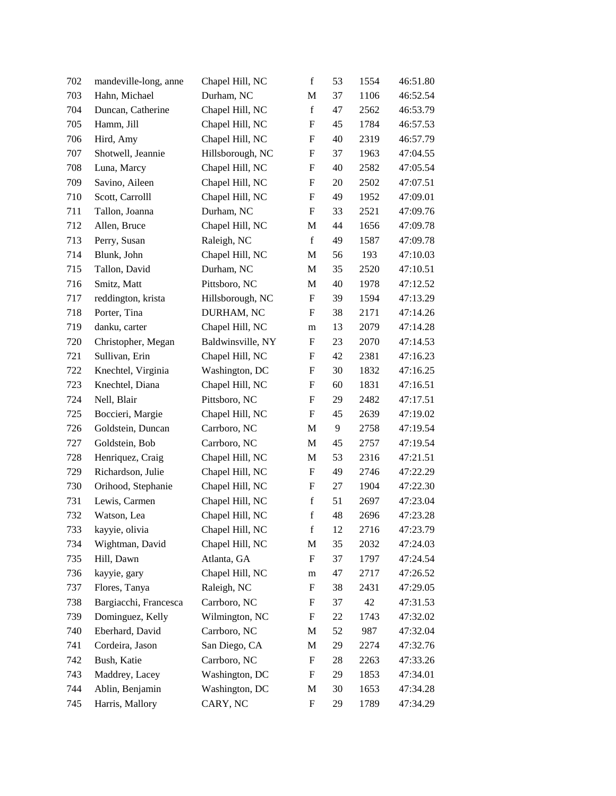| 702 | mandeville-long, anne | Chapel Hill, NC   | $\mathbf f$               | 53 | 1554 | 46:51.80 |
|-----|-----------------------|-------------------|---------------------------|----|------|----------|
| 703 | Hahn, Michael         | Durham, NC        | M                         | 37 | 1106 | 46:52.54 |
| 704 | Duncan, Catherine     | Chapel Hill, NC   | $\mathbf f$               | 47 | 2562 | 46:53.79 |
| 705 | Hamm, Jill            | Chapel Hill, NC   | F                         | 45 | 1784 | 46:57.53 |
| 706 | Hird, Amy             | Chapel Hill, NC   | ${\bf F}$                 | 40 | 2319 | 46:57.79 |
| 707 | Shotwell, Jeannie     | Hillsborough, NC  | ${\rm F}$                 | 37 | 1963 | 47:04.55 |
| 708 | Luna, Marcy           | Chapel Hill, NC   | F                         | 40 | 2582 | 47:05.54 |
| 709 | Savino, Aileen        | Chapel Hill, NC   | ${\bf F}$                 | 20 | 2502 | 47:07.51 |
| 710 | Scott, Carrolll       | Chapel Hill, NC   | F                         | 49 | 1952 | 47:09.01 |
| 711 | Tallon, Joanna        | Durham, NC        | F                         | 33 | 2521 | 47:09.76 |
| 712 | Allen, Bruce          | Chapel Hill, NC   | M                         | 44 | 1656 | 47:09.78 |
| 713 | Perry, Susan          | Raleigh, NC       | $\mathbf f$               | 49 | 1587 | 47:09.78 |
| 714 | Blunk, John           | Chapel Hill, NC   | M                         | 56 | 193  | 47:10.03 |
| 715 | Tallon, David         | Durham, NC        | M                         | 35 | 2520 | 47:10.51 |
| 716 | Smitz, Matt           | Pittsboro, NC     | M                         | 40 | 1978 | 47:12.52 |
| 717 | reddington, krista    | Hillsborough, NC  | ${\rm F}$                 | 39 | 1594 | 47:13.29 |
| 718 | Porter, Tina          | DURHAM, NC        | F                         | 38 | 2171 | 47:14.26 |
| 719 | danku, carter         | Chapel Hill, NC   | m                         | 13 | 2079 | 47:14.28 |
| 720 | Christopher, Megan    | Baldwinsville, NY | F                         | 23 | 2070 | 47:14.53 |
| 721 | Sullivan, Erin        | Chapel Hill, NC   | F                         | 42 | 2381 | 47:16.23 |
| 722 | Knechtel, Virginia    | Washington, DC    | ${\rm F}$                 | 30 | 1832 | 47:16.25 |
| 723 | Knechtel, Diana       | Chapel Hill, NC   | F                         | 60 | 1831 | 47:16.51 |
| 724 | Nell, Blair           | Pittsboro, NC     | ${\bf F}$                 | 29 | 2482 | 47:17.51 |
| 725 | Boccieri, Margie      | Chapel Hill, NC   | F                         | 45 | 2639 | 47:19.02 |
| 726 | Goldstein, Duncan     | Carrboro, NC      | M                         | 9  | 2758 | 47:19.54 |
| 727 | Goldstein, Bob        | Carrboro, NC      | M                         | 45 | 2757 | 47:19.54 |
| 728 | Henriquez, Craig      | Chapel Hill, NC   | M                         | 53 | 2316 | 47:21.51 |
| 729 | Richardson, Julie     | Chapel Hill, NC   | ${\rm F}$                 | 49 | 2746 | 47:22.29 |
| 730 | Orihood, Stephanie    | Chapel Hill, NC   | F                         | 27 | 1904 | 47:22.30 |
| 731 | Lewis, Carmen         | Chapel Hill, NC   | $\mathbf f$               | 51 | 2697 | 47:23.04 |
| 732 | Watson, Lea           | Chapel Hill, NC   | $\mathbf f$               | 48 | 2696 | 47:23.28 |
| 733 | kayyie, olivia        | Chapel Hill, NC   | f                         | 12 | 2716 | 47:23.79 |
| 734 | Wightman, David       | Chapel Hill, NC   | M                         | 35 | 2032 | 47:24.03 |
| 735 | Hill, Dawn            | Atlanta, GA       | F                         | 37 | 1797 | 47:24.54 |
| 736 | kayyie, gary          | Chapel Hill, NC   | m                         | 47 | 2717 | 47:26.52 |
| 737 | Flores, Tanya         | Raleigh, NC       | ${\rm F}$                 | 38 | 2431 | 47:29.05 |
| 738 | Bargiacchi, Francesca | Carrboro, NC      | F                         | 37 | 42   | 47:31.53 |
| 739 | Dominguez, Kelly      | Wilmington, NC    | $\boldsymbol{\mathrm{F}}$ | 22 | 1743 | 47:32.02 |
| 740 | Eberhard, David       | Carrboro, NC      | M                         | 52 | 987  | 47:32.04 |
| 741 | Cordeira, Jason       | San Diego, CA     | M                         | 29 | 2274 | 47:32.76 |
| 742 | Bush, Katie           | Carrboro, NC      | ${\rm F}$                 | 28 | 2263 | 47:33.26 |
| 743 | Maddrey, Lacey        | Washington, DC    | F                         | 29 | 1853 | 47:34.01 |
| 744 | Ablin, Benjamin       | Washington, DC    | M                         | 30 | 1653 | 47:34.28 |
| 745 | Harris, Mallory       | CARY, NC          | $\boldsymbol{\mathrm{F}}$ | 29 | 1789 | 47:34.29 |
|     |                       |                   |                           |    |      |          |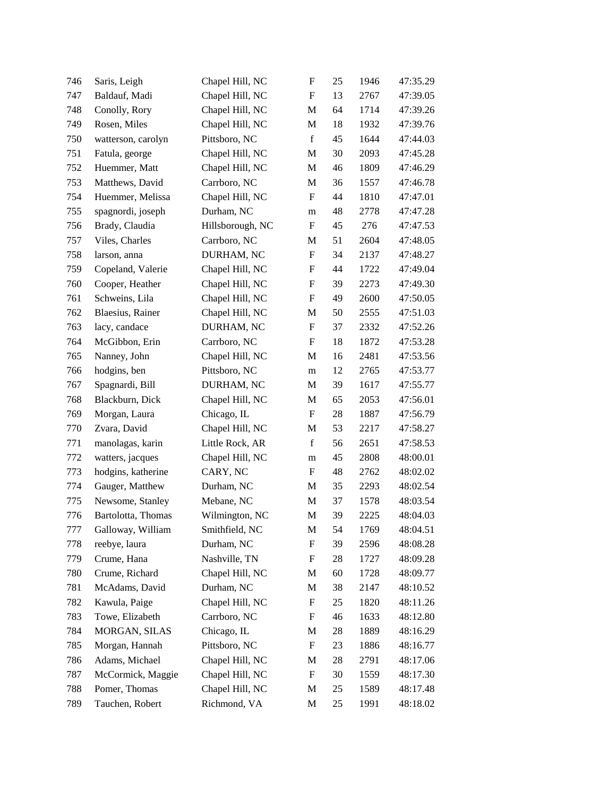| 746 | Saris, Leigh       | Chapel Hill, NC  | $\boldsymbol{\mathrm{F}}$ | 25 | 1946 | 47:35.29 |
|-----|--------------------|------------------|---------------------------|----|------|----------|
| 747 | Baldauf, Madi      | Chapel Hill, NC  | $\boldsymbol{\mathrm{F}}$ | 13 | 2767 | 47:39.05 |
| 748 | Conolly, Rory      | Chapel Hill, NC  | M                         | 64 | 1714 | 47:39.26 |
| 749 | Rosen, Miles       | Chapel Hill, NC  | M                         | 18 | 1932 | 47:39.76 |
| 750 | watterson, carolyn | Pittsboro, NC    | $\mathbf f$               | 45 | 1644 | 47:44.03 |
| 751 | Fatula, george     | Chapel Hill, NC  | M                         | 30 | 2093 | 47:45.28 |
| 752 | Huemmer, Matt      | Chapel Hill, NC  | M                         | 46 | 1809 | 47:46.29 |
| 753 | Matthews, David    | Carrboro, NC     | M                         | 36 | 1557 | 47:46.78 |
| 754 | Huemmer, Melissa   | Chapel Hill, NC  | $\boldsymbol{F}$          | 44 | 1810 | 47:47.01 |
| 755 | spagnordi, joseph  | Durham, NC       | m                         | 48 | 2778 | 47:47.28 |
| 756 | Brady, Claudia     | Hillsborough, NC | $\boldsymbol{\mathrm{F}}$ | 45 | 276  | 47:47.53 |
| 757 | Viles, Charles     | Carrboro, NC     | M                         | 51 | 2604 | 47:48.05 |
| 758 | larson, anna       | DURHAM, NC       | $\boldsymbol{\mathrm{F}}$ | 34 | 2137 | 47:48.27 |
| 759 | Copeland, Valerie  | Chapel Hill, NC  | F                         | 44 | 1722 | 47:49.04 |
| 760 | Cooper, Heather    | Chapel Hill, NC  | F                         | 39 | 2273 | 47:49.30 |
| 761 | Schweins, Lila     | Chapel Hill, NC  | F                         | 49 | 2600 | 47:50.05 |
| 762 | Blaesius, Rainer   | Chapel Hill, NC  | M                         | 50 | 2555 | 47:51.03 |
| 763 | lacy, candace      | DURHAM, NC       | $\boldsymbol{\mathrm{F}}$ | 37 | 2332 | 47:52.26 |
| 764 | McGibbon, Erin     | Carrboro, NC     | $\boldsymbol{F}$          | 18 | 1872 | 47:53.28 |
| 765 | Nanney, John       | Chapel Hill, NC  | M                         | 16 | 2481 | 47:53.56 |
| 766 | hodgins, ben       | Pittsboro, NC    | m                         | 12 | 2765 | 47:53.77 |
| 767 | Spagnardi, Bill    | DURHAM, NC       | M                         | 39 | 1617 | 47:55.77 |
| 768 | Blackburn, Dick    | Chapel Hill, NC  | M                         | 65 | 2053 | 47:56.01 |
| 769 | Morgan, Laura      | Chicago, IL      | $\boldsymbol{\mathrm{F}}$ | 28 | 1887 | 47:56.79 |
| 770 | Zvara, David       | Chapel Hill, NC  | M                         | 53 | 2217 | 47:58.27 |
| 771 | manolagas, karin   | Little Rock, AR  | $\mathbf f$               | 56 | 2651 | 47:58.53 |
| 772 | watters, jacques   | Chapel Hill, NC  | m                         | 45 | 2808 | 48:00.01 |
| 773 | hodgins, katherine | CARY, NC         | $\boldsymbol{\mathrm{F}}$ | 48 | 2762 | 48:02.02 |
| 774 | Gauger, Matthew    | Durham, NC       | M                         | 35 | 2293 | 48:02.54 |
| 775 | Newsome, Stanley   | Mebane, NC       | M                         | 37 | 1578 | 48:03.54 |
| 776 | Bartolotta, Thomas | Wilmington, NC   | M                         | 39 | 2225 | 48:04.03 |
| 777 | Galloway, William  | Smithfield, NC   | M                         | 54 | 1769 | 48:04.51 |
| 778 | reebye, laura      | Durham, NC       | F                         | 39 | 2596 | 48:08.28 |
| 779 | Crume, Hana        | Nashville, TN    | F                         | 28 | 1727 | 48:09.28 |
| 780 | Crume, Richard     | Chapel Hill, NC  | M                         | 60 | 1728 | 48:09.77 |
| 781 | McAdams, David     | Durham, NC       | M                         | 38 | 2147 | 48:10.52 |
| 782 | Kawula, Paige      | Chapel Hill, NC  | ${\rm F}$                 | 25 | 1820 | 48:11.26 |
| 783 | Towe, Elizabeth    | Carrboro, NC     | ${\rm F}$                 | 46 | 1633 | 48:12.80 |
| 784 | MORGAN, SILAS      | Chicago, IL      | M                         | 28 | 1889 | 48:16.29 |
| 785 | Morgan, Hannah     | Pittsboro, NC    | $\boldsymbol{\mathrm{F}}$ | 23 | 1886 | 48:16.77 |
| 786 | Adams, Michael     | Chapel Hill, NC  | M                         | 28 | 2791 | 48:17.06 |
| 787 | McCormick, Maggie  | Chapel Hill, NC  | $\boldsymbol{F}$          | 30 | 1559 | 48:17.30 |
| 788 | Pomer, Thomas      | Chapel Hill, NC  | M                         | 25 | 1589 | 48:17.48 |
| 789 | Tauchen, Robert    | Richmond, VA     | M                         | 25 | 1991 | 48:18.02 |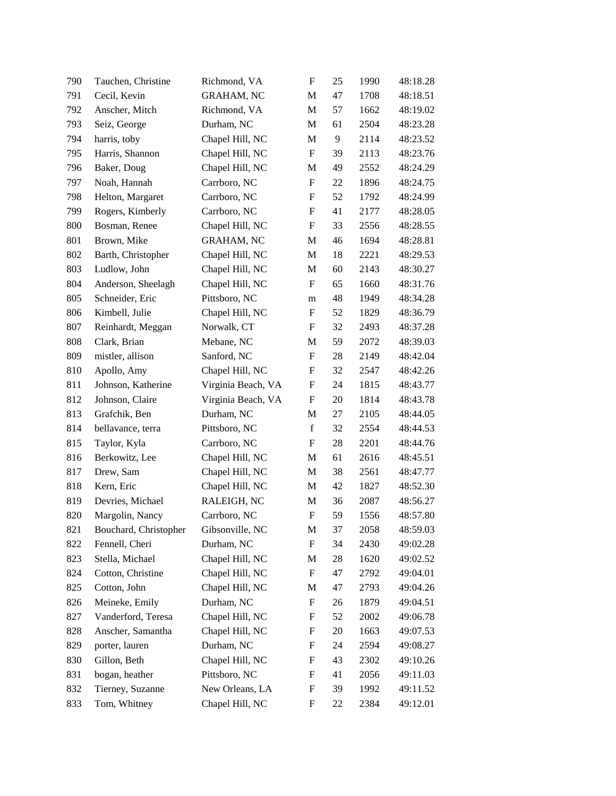| 790 | Tauchen, Christine    | Richmond, VA       | $\boldsymbol{\mathrm{F}}$ | 25 | 1990 | 48:18.28 |
|-----|-----------------------|--------------------|---------------------------|----|------|----------|
| 791 | Cecil, Kevin          | <b>GRAHAM, NC</b>  | M                         | 47 | 1708 | 48:18.51 |
| 792 | Anscher, Mitch        | Richmond, VA       | M                         | 57 | 1662 | 48:19.02 |
| 793 | Seiz, George          | Durham, NC         | M                         | 61 | 2504 | 48:23.28 |
| 794 | harris, toby          | Chapel Hill, NC    | M                         | 9  | 2114 | 48:23.52 |
| 795 | Harris, Shannon       | Chapel Hill, NC    | $\boldsymbol{\mathrm{F}}$ | 39 | 2113 | 48:23.76 |
| 796 | Baker, Doug           | Chapel Hill, NC    | M                         | 49 | 2552 | 48:24.29 |
| 797 | Noah, Hannah          | Carrboro, NC       | $\boldsymbol{\mathrm{F}}$ | 22 | 1896 | 48:24.75 |
| 798 | Helton, Margaret      | Carrboro, NC       | F                         | 52 | 1792 | 48:24.99 |
| 799 | Rogers, Kimberly      | Carrboro, NC       | F                         | 41 | 2177 | 48:28.05 |
| 800 | Bosman, Renee         | Chapel Hill, NC    | $\boldsymbol{\mathrm{F}}$ | 33 | 2556 | 48:28.55 |
| 801 | Brown, Mike           | <b>GRAHAM, NC</b>  | M                         | 46 | 1694 | 48:28.81 |
| 802 | Barth, Christopher    | Chapel Hill, NC    | M                         | 18 | 2221 | 48:29.53 |
| 803 | Ludlow, John          | Chapel Hill, NC    | M                         | 60 | 2143 | 48:30.27 |
| 804 | Anderson, Sheelagh    | Chapel Hill, NC    | F                         | 65 | 1660 | 48:31.76 |
| 805 | Schneider, Eric       | Pittsboro, NC      | m                         | 48 | 1949 | 48:34.28 |
| 806 | Kimbell, Julie        | Chapel Hill, NC    | F                         | 52 | 1829 | 48:36.79 |
| 807 | Reinhardt, Meggan     | Norwalk, CT        | $\boldsymbol{\mathrm{F}}$ | 32 | 2493 | 48:37.28 |
| 808 | Clark, Brian          | Mebane, NC         | M                         | 59 | 2072 | 48:39.03 |
| 809 | mistler, allison      | Sanford, NC        | ${\bf F}$                 | 28 | 2149 | 48:42.04 |
| 810 | Apollo, Amy           | Chapel Hill, NC    | ${\rm F}$                 | 32 | 2547 | 48:42.26 |
| 811 | Johnson, Katherine    | Virginia Beach, VA | F                         | 24 | 1815 | 48:43.77 |
| 812 | Johnson, Claire       | Virginia Beach, VA | $\boldsymbol{\mathrm{F}}$ | 20 | 1814 | 48:43.78 |
| 813 | Grafchik, Ben         | Durham, NC         | M                         | 27 | 2105 | 48:44.05 |
| 814 | bellavance, terra     | Pittsboro, NC      | $\mathbf f$               | 32 | 2554 | 48:44.53 |
| 815 | Taylor, Kyla          | Carrboro, NC       | $\boldsymbol{\mathrm{F}}$ | 28 | 2201 | 48:44.76 |
| 816 | Berkowitz, Lee        | Chapel Hill, NC    | M                         | 61 | 2616 | 48:45.51 |
| 817 | Drew, Sam             | Chapel Hill, NC    | M                         | 38 | 2561 | 48:47.77 |
| 818 | Kern, Eric            | Chapel Hill, NC    | M                         | 42 | 1827 | 48:52.30 |
| 819 | Devries, Michael      | RALEIGH, NC        | M                         | 36 | 2087 | 48:56.27 |
| 820 | Margolin, Nancy       | Carrboro, NC       | ${\rm F}$                 | 59 | 1556 | 48:57.80 |
| 821 | Bouchard, Christopher | Gibsonville, NC    | M                         | 37 | 2058 | 48:59.03 |
| 822 | Fennell, Cheri        | Durham, NC         | $\boldsymbol{\mathrm{F}}$ | 34 | 2430 | 49:02.28 |
| 823 | Stella, Michael       | Chapel Hill, NC    | M                         | 28 | 1620 | 49:02.52 |
| 824 | Cotton, Christine     | Chapel Hill, NC    | F                         | 47 | 2792 | 49:04.01 |
| 825 | Cotton, John          | Chapel Hill, NC    | M                         | 47 | 2793 | 49:04.26 |
| 826 | Meineke, Emily        | Durham, NC         | ${\rm F}$                 | 26 | 1879 | 49:04.51 |
| 827 | Vanderford, Teresa    | Chapel Hill, NC    | F                         | 52 | 2002 | 49:06.78 |
| 828 | Anscher, Samantha     | Chapel Hill, NC    | F                         | 20 | 1663 | 49:07.53 |
| 829 | porter, lauren        | Durham, NC         | F                         | 24 | 2594 | 49:08.27 |
| 830 | Gillon, Beth          | Chapel Hill, NC    | ${\rm F}$                 | 43 | 2302 | 49:10.26 |
| 831 | bogan, heather        | Pittsboro, NC      | F                         | 41 | 2056 | 49:11.03 |
| 832 | Tierney, Suzanne      | New Orleans, LA    | $\boldsymbol{\mathrm{F}}$ | 39 | 1992 | 49:11.52 |
| 833 | Tom, Whitney          | Chapel Hill, NC    | ${\rm F}$                 | 22 | 2384 | 49:12.01 |
|     |                       |                    |                           |    |      |          |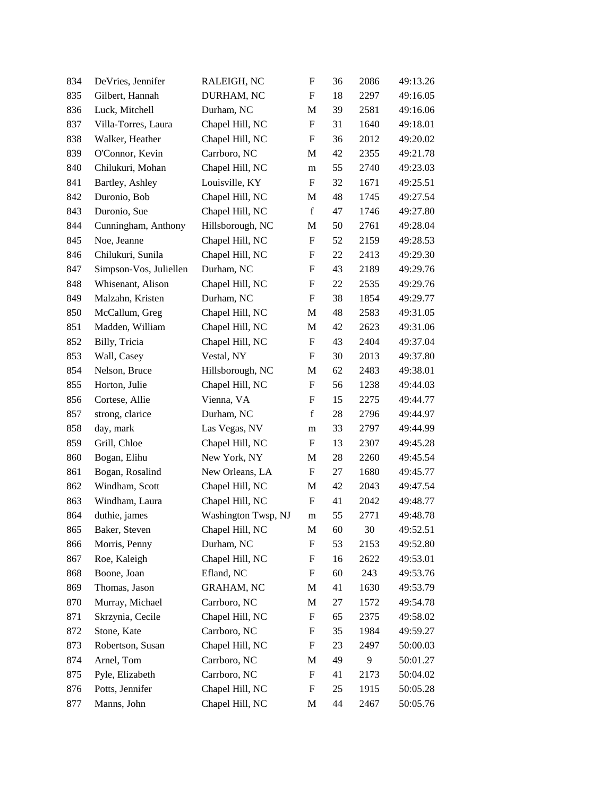| 834 | DeVries, Jennifer      | RALEIGH, NC         | F                         | 36 | 2086 | 49:13.26 |
|-----|------------------------|---------------------|---------------------------|----|------|----------|
| 835 | Gilbert, Hannah        | DURHAM, NC          | F                         | 18 | 2297 | 49:16.05 |
| 836 | Luck, Mitchell         | Durham, NC          | M                         | 39 | 2581 | 49:16.06 |
| 837 | Villa-Torres, Laura    | Chapel Hill, NC     | $\boldsymbol{\mathrm{F}}$ | 31 | 1640 | 49:18.01 |
| 838 | Walker, Heather        | Chapel Hill, NC     | F                         | 36 | 2012 | 49:20.02 |
| 839 | O'Connor, Kevin        | Carrboro, NC        | M                         | 42 | 2355 | 49:21.78 |
| 840 | Chilukuri, Mohan       | Chapel Hill, NC     | m                         | 55 | 2740 | 49:23.03 |
| 841 | Bartley, Ashley        | Louisville, KY      | F                         | 32 | 1671 | 49:25.51 |
| 842 | Duronio, Bob           | Chapel Hill, NC     | M                         | 48 | 1745 | 49:27.54 |
| 843 | Duronio, Sue           | Chapel Hill, NC     | $\mathbf f$               | 47 | 1746 | 49:27.80 |
| 844 | Cunningham, Anthony    | Hillsborough, NC    | M                         | 50 | 2761 | 49:28.04 |
| 845 | Noe, Jeanne            | Chapel Hill, NC     | ${\rm F}$                 | 52 | 2159 | 49:28.53 |
| 846 | Chilukuri, Sunila      | Chapel Hill, NC     | F                         | 22 | 2413 | 49:29.30 |
| 847 | Simpson-Vos, Juliellen | Durham, NC          | ${\rm F}$                 | 43 | 2189 | 49:29.76 |
| 848 | Whisenant, Alison      | Chapel Hill, NC     | ${\rm F}$                 | 22 | 2535 | 49:29.76 |
| 849 | Malzahn, Kristen       | Durham, NC          | $\boldsymbol{\mathrm{F}}$ | 38 | 1854 | 49:29.77 |
| 850 | McCallum, Greg         | Chapel Hill, NC     | M                         | 48 | 2583 | 49:31.05 |
| 851 | Madden, William        | Chapel Hill, NC     | M                         | 42 | 2623 | 49:31.06 |
| 852 | Billy, Tricia          | Chapel Hill, NC     | ${\rm F}$                 | 43 | 2404 | 49:37.04 |
| 853 | Wall, Casey            | Vestal, NY          | F                         | 30 | 2013 | 49:37.80 |
| 854 | Nelson, Bruce          | Hillsborough, NC    | M                         | 62 | 2483 | 49:38.01 |
| 855 | Horton, Julie          | Chapel Hill, NC     | F                         | 56 | 1238 | 49:44.03 |
| 856 | Cortese, Allie         | Vienna, VA          | F                         | 15 | 2275 | 49:44.77 |
| 857 | strong, clarice        | Durham, NC          | $\mathbf f$               | 28 | 2796 | 49:44.97 |
| 858 | day, mark              | Las Vegas, NV       | m                         | 33 | 2797 | 49:44.99 |
| 859 | Grill, Chloe           | Chapel Hill, NC     | F                         | 13 | 2307 | 49:45.28 |
| 860 | Bogan, Elihu           | New York, NY        | M                         | 28 | 2260 | 49:45.54 |
| 861 | Bogan, Rosalind        | New Orleans, LA     | F                         | 27 | 1680 | 49:45.77 |
| 862 | Windham, Scott         | Chapel Hill, NC     | M                         | 42 | 2043 | 49:47.54 |
| 863 | Windham, Laura         | Chapel Hill, NC     | $\boldsymbol{\mathrm{F}}$ | 41 | 2042 | 49:48.77 |
| 864 | duthie, james          | Washington Twsp, NJ | m                         | 55 | 2771 | 49:48.78 |
| 865 | Baker, Steven          | Chapel Hill, NC     | M                         | 60 | 30   | 49:52.51 |
| 866 | Morris, Penny          | Durham, NC          | ${\rm F}$                 | 53 | 2153 | 49:52.80 |
| 867 | Roe, Kaleigh           | Chapel Hill, NC     | F                         | 16 | 2622 | 49:53.01 |
| 868 | Boone, Joan            | Efland, NC          | F                         | 60 | 243  | 49:53.76 |
| 869 | Thomas, Jason          | <b>GRAHAM, NC</b>   | M                         | 41 | 1630 | 49:53.79 |
| 870 | Murray, Michael        | Carrboro, NC        | M                         | 27 | 1572 | 49:54.78 |
| 871 | Skrzynia, Cecile       | Chapel Hill, NC     | ${\rm F}$                 | 65 | 2375 | 49:58.02 |
| 872 | Stone, Kate            | Carrboro, NC        | ${\rm F}$                 | 35 | 1984 | 49:59.27 |
| 873 | Robertson, Susan       | Chapel Hill, NC     | F                         | 23 | 2497 | 50:00.03 |
| 874 | Arnel, Tom             | Carrboro, NC        | M                         | 49 | 9    | 50:01.27 |
| 875 | Pyle, Elizabeth        | Carrboro, NC        | F                         | 41 | 2173 | 50:04.02 |
| 876 | Potts, Jennifer        | Chapel Hill, NC     | F                         | 25 | 1915 | 50:05.28 |
| 877 | Manns, John            | Chapel Hill, NC     | M                         | 44 | 2467 | 50:05.76 |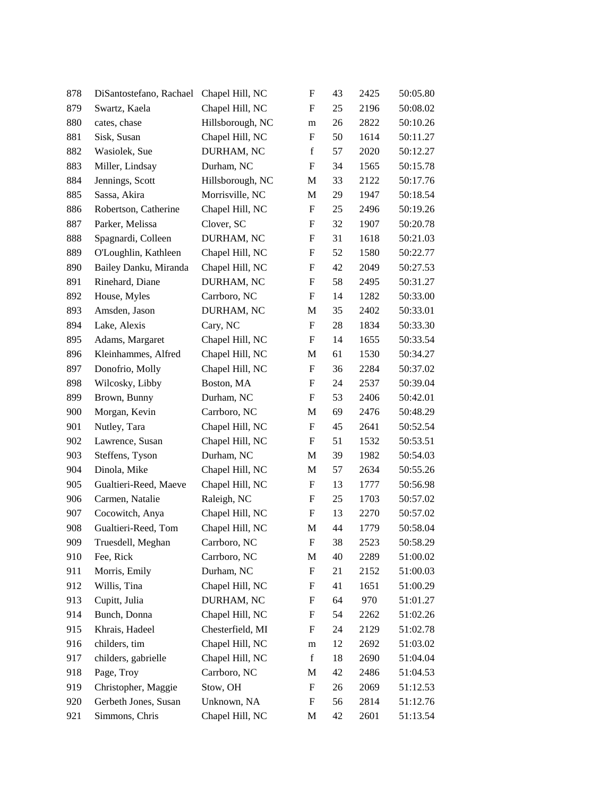| 878 | DiSantostefano, Rachael | Chapel Hill, NC  | $\boldsymbol{\mathrm{F}}$ | 43 | 2425 | 50:05.80 |
|-----|-------------------------|------------------|---------------------------|----|------|----------|
| 879 | Swartz, Kaela           | Chapel Hill, NC  | ${\bf F}$                 | 25 | 2196 | 50:08.02 |
| 880 | cates, chase            | Hillsborough, NC | m                         | 26 | 2822 | 50:10.26 |
| 881 | Sisk, Susan             | Chapel Hill, NC  | F                         | 50 | 1614 | 50:11.27 |
| 882 | Wasiolek, Sue           | DURHAM, NC       | $\mathbf f$               | 57 | 2020 | 50:12.27 |
| 883 | Miller, Lindsay         | Durham, NC       | $\boldsymbol{\mathrm{F}}$ | 34 | 1565 | 50:15.78 |
| 884 | Jennings, Scott         | Hillsborough, NC | M                         | 33 | 2122 | 50:17.76 |
| 885 | Sassa, Akira            | Morrisville, NC  | $\mathbf M$               | 29 | 1947 | 50:18.54 |
| 886 | Robertson, Catherine    | Chapel Hill, NC  | F                         | 25 | 2496 | 50:19.26 |
| 887 | Parker, Melissa         | Clover, SC       | F                         | 32 | 1907 | 50:20.78 |
| 888 | Spagnardi, Colleen      | DURHAM, NC       | $\boldsymbol{\mathrm{F}}$ | 31 | 1618 | 50:21.03 |
| 889 | O'Loughlin, Kathleen    | Chapel Hill, NC  | F                         | 52 | 1580 | 50:22.77 |
| 890 | Bailey Danku, Miranda   | Chapel Hill, NC  | $\boldsymbol{\mathrm{F}}$ | 42 | 2049 | 50:27.53 |
| 891 | Rinehard, Diane         | DURHAM, NC       | F                         | 58 | 2495 | 50:31.27 |
| 892 | House, Myles            | Carrboro, NC     | F                         | 14 | 1282 | 50:33.00 |
| 893 | Amsden, Jason           | DURHAM, NC       | M                         | 35 | 2402 | 50:33.01 |
| 894 | Lake, Alexis            | Cary, NC         | $\boldsymbol{\mathrm{F}}$ | 28 | 1834 | 50:33.30 |
| 895 | Adams, Margaret         | Chapel Hill, NC  | $\boldsymbol{\mathrm{F}}$ | 14 | 1655 | 50:33.54 |
| 896 | Kleinhammes, Alfred     | Chapel Hill, NC  | M                         | 61 | 1530 | 50:34.27 |
| 897 | Donofrio, Molly         | Chapel Hill, NC  | ${\rm F}$                 | 36 | 2284 | 50:37.02 |
| 898 | Wilcosky, Libby         | Boston, MA       | $\boldsymbol{\mathrm{F}}$ | 24 | 2537 | 50:39.04 |
| 899 | Brown, Bunny            | Durham, NC       | F                         | 53 | 2406 | 50:42.01 |
| 900 | Morgan, Kevin           | Carrboro, NC     | M                         | 69 | 2476 | 50:48.29 |
| 901 | Nutley, Tara            | Chapel Hill, NC  | F                         | 45 | 2641 | 50:52.54 |
| 902 | Lawrence, Susan         | Chapel Hill, NC  | ${\rm F}$                 | 51 | 1532 | 50:53.51 |
| 903 | Steffens, Tyson         | Durham, NC       | M                         | 39 | 1982 | 50:54.03 |
| 904 | Dinola, Mike            | Chapel Hill, NC  | M                         | 57 | 2634 | 50:55.26 |
| 905 | Gualtieri-Reed, Maeve   | Chapel Hill, NC  | $\boldsymbol{\mathrm{F}}$ | 13 | 1777 | 50:56.98 |
| 906 | Carmen, Natalie         | Raleigh, NC      | F                         | 25 | 1703 | 50:57.02 |
| 907 | Cocowitch, Anya         | Chapel Hill, NC  | F                         | 13 | 2270 | 50:57.02 |
| 908 | Gualtieri-Reed, Tom     | Chapel Hill, NC  | M                         | 44 | 1779 | 50:58.04 |
| 909 | Truesdell, Meghan       | Carrboro, NC     | F                         | 38 | 2523 | 50:58.29 |
| 910 | Fee, Rick               | Carrboro, NC     | M                         | 40 | 2289 | 51:00.02 |
| 911 | Morris, Emily           | Durham, NC       | ${\rm F}$                 | 21 | 2152 | 51:00.03 |
| 912 | Willis, Tina            | Chapel Hill, NC  | F                         | 41 | 1651 | 51:00.29 |
| 913 | Cupitt, Julia           | DURHAM, NC       | F                         | 64 | 970  | 51:01.27 |
| 914 | Bunch, Donna            | Chapel Hill, NC  | F                         | 54 | 2262 | 51:02.26 |
| 915 | Khrais, Hadeel          | Chesterfield, MI | F                         | 24 | 2129 | 51:02.78 |
| 916 | childers, tim           | Chapel Hill, NC  | m                         | 12 | 2692 | 51:03.02 |
| 917 | childers, gabrielle     | Chapel Hill, NC  | $\mathbf f$               | 18 | 2690 | 51:04.04 |
| 918 | Page, Troy              | Carrboro, NC     | M                         | 42 | 2486 | 51:04.53 |
| 919 | Christopher, Maggie     | Stow, OH         | F                         | 26 | 2069 | 51:12.53 |
| 920 | Gerbeth Jones, Susan    | Unknown, NA      | F                         | 56 | 2814 | 51:12.76 |
| 921 | Simmons, Chris          | Chapel Hill, NC  | M                         | 42 | 2601 | 51:13.54 |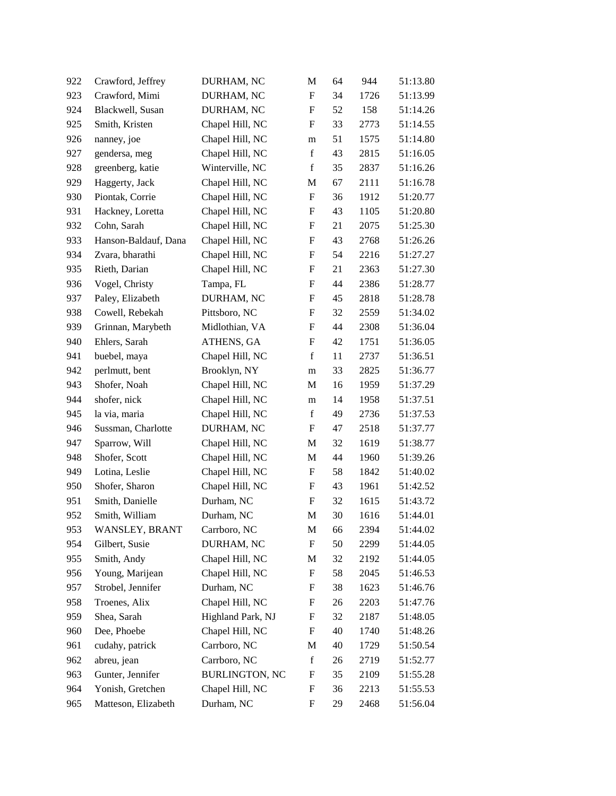| 922 | Crawford, Jeffrey    | DURHAM, NC            | M                         | 64 | 944  | 51:13.80 |
|-----|----------------------|-----------------------|---------------------------|----|------|----------|
| 923 | Crawford, Mimi       | DURHAM, NC            | $\boldsymbol{\mathrm{F}}$ | 34 | 1726 | 51:13.99 |
| 924 | Blackwell, Susan     | DURHAM, NC            | $\boldsymbol{\mathrm{F}}$ | 52 | 158  | 51:14.26 |
| 925 | Smith, Kristen       | Chapel Hill, NC       | F                         | 33 | 2773 | 51:14.55 |
| 926 | nanney, joe          | Chapel Hill, NC       | m                         | 51 | 1575 | 51:14.80 |
| 927 | gendersa, meg        | Chapel Hill, NC       | $\mathbf f$               | 43 | 2815 | 51:16.05 |
| 928 | greenberg, katie     | Winterville, NC       | $\mathbf f$               | 35 | 2837 | 51:16.26 |
| 929 | Haggerty, Jack       | Chapel Hill, NC       | M                         | 67 | 2111 | 51:16.78 |
| 930 | Piontak, Corrie      | Chapel Hill, NC       | F                         | 36 | 1912 | 51:20.77 |
| 931 | Hackney, Loretta     | Chapel Hill, NC       | $\boldsymbol{F}$          | 43 | 1105 | 51:20.80 |
| 932 | Cohn, Sarah          | Chapel Hill, NC       | $\boldsymbol{\mathrm{F}}$ | 21 | 2075 | 51:25.30 |
| 933 | Hanson-Baldauf, Dana | Chapel Hill, NC       | F                         | 43 | 2768 | 51:26.26 |
| 934 | Zvara, bharathi      | Chapel Hill, NC       | $\boldsymbol{\mathrm{F}}$ | 54 | 2216 | 51:27.27 |
| 935 | Rieth, Darian        | Chapel Hill, NC       | $\boldsymbol{F}$          | 21 | 2363 | 51:27.30 |
| 936 | Vogel, Christy       | Tampa, FL             | $\boldsymbol{F}$          | 44 | 2386 | 51:28.77 |
| 937 | Paley, Elizabeth     | DURHAM, NC            | $\boldsymbol{\mathrm{F}}$ | 45 | 2818 | 51:28.78 |
| 938 | Cowell, Rebekah      | Pittsboro, NC         | F                         | 32 | 2559 | 51:34.02 |
| 939 | Grinnan, Marybeth    | Midlothian, VA        | $\boldsymbol{\mathrm{F}}$ | 44 | 2308 | 51:36.04 |
| 940 | Ehlers, Sarah        | ATHENS, GA            | $\boldsymbol{F}$          | 42 | 1751 | 51:36.05 |
| 941 | buebel, maya         | Chapel Hill, NC       | $\mathbf f$               | 11 | 2737 | 51:36.51 |
| 942 | perlmutt, bent       | Brooklyn, NY          | ${\bf m}$                 | 33 | 2825 | 51:36.77 |
| 943 | Shofer, Noah         | Chapel Hill, NC       | M                         | 16 | 1959 | 51:37.29 |
| 944 | shofer, nick         | Chapel Hill, NC       | m                         | 14 | 1958 | 51:37.51 |
| 945 | la via, maria        | Chapel Hill, NC       | $\mathbf f$               | 49 | 2736 | 51:37.53 |
| 946 | Sussman, Charlotte   | DURHAM, NC            | F                         | 47 | 2518 | 51:37.77 |
| 947 | Sparrow, Will        | Chapel Hill, NC       | M                         | 32 | 1619 | 51:38.77 |
| 948 | Shofer, Scott        | Chapel Hill, NC       | M                         | 44 | 1960 | 51:39.26 |
| 949 | Lotina, Leslie       | Chapel Hill, NC       | $\boldsymbol{\mathrm{F}}$ | 58 | 1842 | 51:40.02 |
| 950 | Shofer, Sharon       | Chapel Hill, NC       | $\boldsymbol{F}$          | 43 | 1961 | 51:42.52 |
| 951 | Smith, Danielle      | Durham, NC            | $\boldsymbol{F}$          | 32 | 1615 | 51:43.72 |
| 952 | Smith, William       | Durham, NC            | M                         | 30 | 1616 | 51:44.01 |
| 953 | WANSLEY, BRANT       | Carrboro, NC          | M                         | 66 | 2394 | 51:44.02 |
| 954 | Gilbert, Susie       | DURHAM, NC            | $\boldsymbol{\mathrm{F}}$ | 50 | 2299 | 51:44.05 |
| 955 | Smith, Andy          | Chapel Hill, NC       | M                         | 32 | 2192 | 51:44.05 |
| 956 | Young, Marijean      | Chapel Hill, NC       | $\boldsymbol{\mathrm{F}}$ | 58 | 2045 | 51:46.53 |
| 957 | Strobel, Jennifer    | Durham, NC            | $\boldsymbol{\mathrm{F}}$ | 38 | 1623 | 51:46.76 |
| 958 | Troenes, Alix        | Chapel Hill, NC       | $\boldsymbol{F}$          | 26 | 2203 | 51:47.76 |
| 959 | Shea, Sarah          | Highland Park, NJ     | $\boldsymbol{F}$          | 32 | 2187 | 51:48.05 |
| 960 | Dee, Phoebe          | Chapel Hill, NC       | F                         | 40 | 1740 | 51:48.26 |
| 961 | cudahy, patrick      | Carrboro, NC          | M                         | 40 | 1729 | 51:50.54 |
| 962 | abreu, jean          | Carrboro, NC          | $\mathbf f$               | 26 | 2719 | 51:52.77 |
| 963 | Gunter, Jennifer     | <b>BURLINGTON, NC</b> | F                         | 35 | 2109 | 51:55.28 |
| 964 | Yonish, Gretchen     | Chapel Hill, NC       | F                         | 36 | 2213 | 51:55.53 |
| 965 | Matteson, Elizabeth  | Durham, NC            | F                         | 29 | 2468 | 51:56.04 |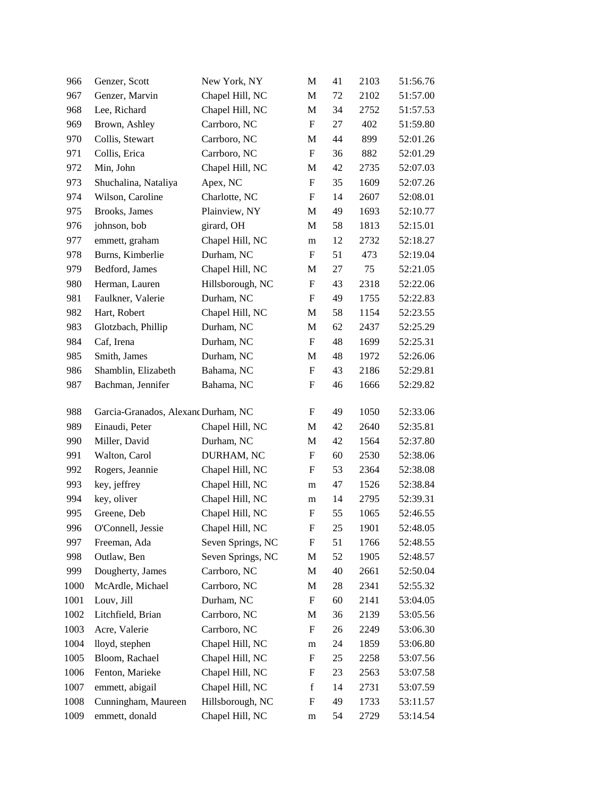| 966  | Genzer, Scott                       | New York, NY      | M                         | 41 | 2103 | 51:56.76 |
|------|-------------------------------------|-------------------|---------------------------|----|------|----------|
| 967  | Genzer, Marvin                      | Chapel Hill, NC   | M                         | 72 | 2102 | 51:57.00 |
| 968  | Lee, Richard                        | Chapel Hill, NC   | M                         | 34 | 2752 | 51:57.53 |
| 969  | Brown, Ashley                       | Carrboro, NC      | ${\rm F}$                 | 27 | 402  | 51:59.80 |
| 970  | Collis, Stewart                     | Carrboro, NC      | M                         | 44 | 899  | 52:01.26 |
| 971  | Collis, Erica                       | Carrboro, NC      | ${\rm F}$                 | 36 | 882  | 52:01.29 |
| 972  | Min, John                           | Chapel Hill, NC   | M                         | 42 | 2735 | 52:07.03 |
| 973  | Shuchalina, Nataliya                | Apex, NC          | F                         | 35 | 1609 | 52:07.26 |
| 974  | Wilson, Caroline                    | Charlotte, NC     | F                         | 14 | 2607 | 52:08.01 |
| 975  | Brooks, James                       | Plainview, NY     | M                         | 49 | 1693 | 52:10.77 |
| 976  | johnson, bob                        | girard, OH        | M                         | 58 | 1813 | 52:15.01 |
| 977  | emmett, graham                      | Chapel Hill, NC   | m                         | 12 | 2732 | 52:18.27 |
| 978  | Burns, Kimberlie                    | Durham, NC        | F                         | 51 | 473  | 52:19.04 |
| 979  | Bedford, James                      | Chapel Hill, NC   | M                         | 27 | 75   | 52:21.05 |
| 980  | Herman, Lauren                      | Hillsborough, NC  | F                         | 43 | 2318 | 52:22.06 |
| 981  | Faulkner, Valerie                   | Durham, NC        | F                         | 49 | 1755 | 52:22.83 |
| 982  | Hart, Robert                        | Chapel Hill, NC   | M                         | 58 | 1154 | 52:23.55 |
| 983  | Glotzbach, Phillip                  | Durham, NC        | M                         | 62 | 2437 | 52:25.29 |
| 984  | Caf, Irena                          | Durham, NC        | F                         | 48 | 1699 | 52:25.31 |
| 985  | Smith, James                        | Durham, NC        | M                         | 48 | 1972 | 52:26.06 |
| 986  | Shamblin, Elizabeth                 | Bahama, NC        | F                         | 43 | 2186 | 52:29.81 |
| 987  | Bachman, Jennifer                   | Bahama, NC        | F                         | 46 | 1666 | 52:29.82 |
| 988  | Garcia-Granados, Alexand Durham, NC |                   | F                         | 49 | 1050 | 52:33.06 |
| 989  | Einaudi, Peter                      | Chapel Hill, NC   | M                         | 42 | 2640 | 52:35.81 |
| 990  | Miller, David                       | Durham, NC        | M                         | 42 | 1564 | 52:37.80 |
| 991  | Walton, Carol                       | DURHAM, NC        | F                         | 60 | 2530 | 52:38.06 |
| 992  | Rogers, Jeannie                     | Chapel Hill, NC   | F                         | 53 | 2364 | 52:38.08 |
| 993  | key, jeffrey                        | Chapel Hill, NC   | m                         | 47 | 1526 | 52:38.84 |
| 994  | key, oliver                         | Chapel Hill, NC   | m                         | 14 | 2795 | 52:39.31 |
| 995  | Greene, Deb                         | Chapel Hill, NC   | ${\rm F}$                 | 55 | 1065 | 52:46.55 |
| 996  | O'Connell, Jessie                   | Chapel Hill, NC   | $\boldsymbol{\mathrm{F}}$ | 25 | 1901 | 52:48.05 |
| 997  | Freeman, Ada                        | Seven Springs, NC | F                         | 51 | 1766 | 52:48.55 |
| 998  | Outlaw, Ben                         | Seven Springs, NC | M                         | 52 | 1905 | 52:48.57 |
| 999  | Dougherty, James                    | Carrboro, NC      | M                         | 40 | 2661 | 52:50.04 |
| 1000 | McArdle, Michael                    | Carrboro, NC      | M                         | 28 | 2341 | 52:55.32 |
| 1001 | Louv, Jill                          | Durham, NC        | ${\rm F}$                 | 60 | 2141 | 53:04.05 |
| 1002 | Litchfield, Brian                   | Carrboro, NC      | M                         | 36 | 2139 | 53:05.56 |
| 1003 | Acre, Valerie                       | Carrboro, NC      | ${\rm F}$                 | 26 | 2249 | 53:06.30 |
| 1004 | lloyd, stephen                      | Chapel Hill, NC   | m                         | 24 | 1859 | 53:06.80 |
| 1005 | Bloom, Rachael                      | Chapel Hill, NC   | ${\rm F}$                 | 25 | 2258 | 53:07.56 |
| 1006 | Fenton, Marieke                     | Chapel Hill, NC   | ${\rm F}$                 | 23 | 2563 | 53:07.58 |
| 1007 | emmett, abigail                     | Chapel Hill, NC   | $\mathbf f$               | 14 | 2731 | 53:07.59 |
| 1008 | Cunningham, Maureen                 | Hillsborough, NC  | F                         | 49 | 1733 | 53:11.57 |
| 1009 | emmett, donald                      | Chapel Hill, NC   | m                         | 54 | 2729 | 53:14.54 |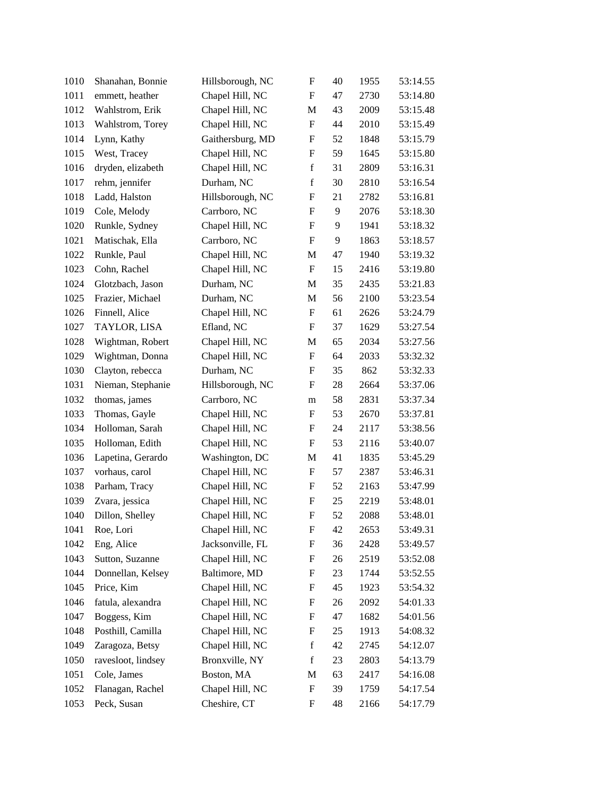| 1010 | Shanahan, Bonnie   | Hillsborough, NC | $\boldsymbol{\mathrm{F}}$ | 40     | 1955 | 53:14.55 |
|------|--------------------|------------------|---------------------------|--------|------|----------|
| 1011 | emmett, heather    | Chapel Hill, NC  | F                         | 47     | 2730 | 53:14.80 |
| 1012 | Wahlstrom, Erik    | Chapel Hill, NC  | M                         | 43     | 2009 | 53:15.48 |
| 1013 | Wahlstrom, Torey   | Chapel Hill, NC  | $\boldsymbol{F}$          | 44     | 2010 | 53:15.49 |
| 1014 | Lynn, Kathy        | Gaithersburg, MD | $\boldsymbol{F}$          | 52     | 1848 | 53:15.79 |
| 1015 | West, Tracey       | Chapel Hill, NC  | $\boldsymbol{\mathrm{F}}$ | 59     | 1645 | 53:15.80 |
| 1016 | dryden, elizabeth  | Chapel Hill, NC  | f                         | 31     | 2809 | 53:16.31 |
| 1017 | rehm, jennifer     | Durham, NC       | $\mathbf f$               | 30     | 2810 | 53:16.54 |
| 1018 | Ladd, Halston      | Hillsborough, NC | F                         | 21     | 2782 | 53:16.81 |
| 1019 | Cole, Melody       | Carrboro, NC     | F                         | 9      | 2076 | 53:18.30 |
| 1020 | Runkle, Sydney     | Chapel Hill, NC  | $\boldsymbol{\mathrm{F}}$ | 9      | 1941 | 53:18.32 |
| 1021 | Matischak, Ella    | Carrboro, NC     | $\boldsymbol{F}$          | 9      | 1863 | 53:18.57 |
| 1022 | Runkle, Paul       | Chapel Hill, NC  | M                         | 47     | 1940 | 53:19.32 |
| 1023 | Cohn, Rachel       | Chapel Hill, NC  | $\boldsymbol{F}$          | 15     | 2416 | 53:19.80 |
| 1024 | Glotzbach, Jason   | Durham, NC       | M                         | 35     | 2435 | 53:21.83 |
| 1025 | Frazier, Michael   | Durham, NC       | M                         | 56     | 2100 | 53:23.54 |
| 1026 | Finnell, Alice     | Chapel Hill, NC  | $\boldsymbol{F}$          | 61     | 2626 | 53:24.79 |
| 1027 | TAYLOR, LISA       | Efland, NC       | $\boldsymbol{\mathrm{F}}$ | 37     | 1629 | 53:27.54 |
| 1028 | Wightman, Robert   | Chapel Hill, NC  | M                         | 65     | 2034 | 53:27.56 |
| 1029 | Wightman, Donna    | Chapel Hill, NC  | $\boldsymbol{F}$          | 64     | 2033 | 53:32.32 |
| 1030 | Clayton, rebecca   | Durham, NC       | $\boldsymbol{F}$          | 35     | 862  | 53:32.33 |
| 1031 | Nieman, Stephanie  | Hillsborough, NC | $\boldsymbol{F}$          | 28     | 2664 | 53:37.06 |
| 1032 | thomas, james      | Carrboro, NC     | m                         | 58     | 2831 | 53:37.34 |
| 1033 | Thomas, Gayle      | Chapel Hill, NC  | $\boldsymbol{F}$          | 53     | 2670 | 53:37.81 |
| 1034 | Holloman, Sarah    | Chapel Hill, NC  | $\boldsymbol{F}$          | 24     | 2117 | 53:38.56 |
| 1035 | Holloman, Edith    | Chapel Hill, NC  | $\boldsymbol{F}$          | 53     | 2116 | 53:40.07 |
| 1036 | Lapetina, Gerardo  | Washington, DC   | M                         | 41     | 1835 | 53:45.29 |
| 1037 | vorhaus, carol     | Chapel Hill, NC  | $\boldsymbol{F}$          | 57     | 2387 | 53:46.31 |
| 1038 | Parham, Tracy      | Chapel Hill, NC  | $\boldsymbol{F}$          | 52     | 2163 | 53:47.99 |
| 1039 | Zvara, jessica     | Chapel Hill, NC  | $\boldsymbol{F}$          | $25\,$ | 2219 | 53:48.01 |
| 1040 | Dillon, Shelley    | Chapel Hill, NC  | F                         | 52     | 2088 | 53:48.01 |
| 1041 | Roe, Lori          | Chapel Hill, NC  | F                         | 42     | 2653 | 53:49.31 |
| 1042 | Eng, Alice         | Jacksonville, FL | $\boldsymbol{F}$          | 36     | 2428 | 53:49.57 |
| 1043 | Sutton, Suzanne    | Chapel Hill, NC  | F                         | 26     | 2519 | 53:52.08 |
| 1044 | Donnellan, Kelsey  | Baltimore, MD    | F                         | 23     | 1744 | 53:52.55 |
| 1045 | Price, Kim         | Chapel Hill, NC  | F                         | 45     | 1923 | 53:54.32 |
| 1046 | fatula, alexandra  | Chapel Hill, NC  | F                         | 26     | 2092 | 54:01.33 |
| 1047 | Boggess, Kim       | Chapel Hill, NC  | F                         | 47     | 1682 | 54:01.56 |
| 1048 | Posthill, Camilla  | Chapel Hill, NC  | F                         | 25     | 1913 | 54:08.32 |
| 1049 | Zaragoza, Betsy    | Chapel Hill, NC  | $\mathbf f$               | 42     | 2745 | 54:12.07 |
| 1050 | ravesloot, lindsey | Bronxville, NY   | $\mathbf f$               | 23     | 2803 | 54:13.79 |
| 1051 | Cole, James        | Boston, MA       | M                         | 63     | 2417 | 54:16.08 |
| 1052 | Flanagan, Rachel   | Chapel Hill, NC  | $\boldsymbol{\mathrm{F}}$ | 39     | 1759 | 54:17.54 |
| 1053 | Peck, Susan        | Cheshire, CT     | F                         | 48     | 2166 | 54:17.79 |
|      |                    |                  |                           |        |      |          |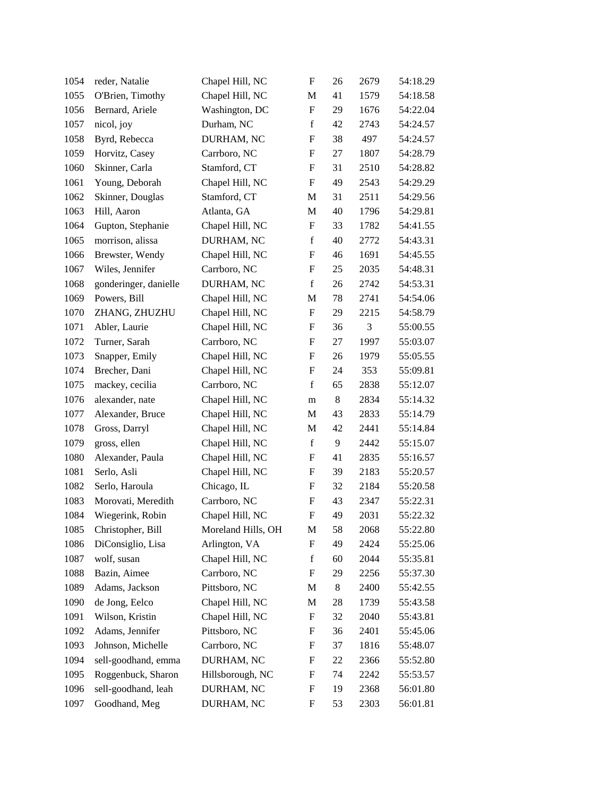| 1054 | reder, Natalie        | Chapel Hill, NC    | $\boldsymbol{\mathrm{F}}$ | 26      | 2679 | 54:18.29 |
|------|-----------------------|--------------------|---------------------------|---------|------|----------|
| 1055 | O'Brien, Timothy      | Chapel Hill, NC    | M                         | 41      | 1579 | 54:18.58 |
| 1056 | Bernard, Ariele       | Washington, DC     | $\boldsymbol{\mathrm{F}}$ | 29      | 1676 | 54:22.04 |
| 1057 | nicol, joy            | Durham, NC         | $\mathbf f$               | 42      | 2743 | 54:24.57 |
| 1058 | Byrd, Rebecca         | DURHAM, NC         | $\boldsymbol{F}$          | 38      | 497  | 54:24.57 |
| 1059 | Horvitz, Casey        | Carrboro, NC       | $\boldsymbol{\mathrm{F}}$ | $27\,$  | 1807 | 54:28.79 |
| 1060 | Skinner, Carla        | Stamford, CT       | F                         | 31      | 2510 | 54:28.82 |
| 1061 | Young, Deborah        | Chapel Hill, NC    | $\boldsymbol{\mathrm{F}}$ | 49      | 2543 | 54:29.29 |
| 1062 | Skinner, Douglas      | Stamford, CT       | M                         | 31      | 2511 | 54:29.56 |
| 1063 | Hill, Aaron           | Atlanta, GA        | M                         | 40      | 1796 | 54:29.81 |
| 1064 | Gupton, Stephanie     | Chapel Hill, NC    | $\boldsymbol{\mathrm{F}}$ | 33      | 1782 | 54:41.55 |
| 1065 | morrison, alissa      | DURHAM, NC         | $\mathbf f$               | 40      | 2772 | 54:43.31 |
| 1066 | Brewster, Wendy       | Chapel Hill, NC    | F                         | 46      | 1691 | 54:45.55 |
| 1067 | Wiles, Jennifer       | Carrboro, NC       | F                         | 25      | 2035 | 54:48.31 |
| 1068 | gonderinger, danielle | DURHAM, NC         | $\mathbf f$               | 26      | 2742 | 54:53.31 |
| 1069 | Powers, Bill          | Chapel Hill, NC    | M                         | 78      | 2741 | 54:54.06 |
| 1070 | ZHANG, ZHUZHU         | Chapel Hill, NC    | F                         | 29      | 2215 | 54:58.79 |
| 1071 | Abler, Laurie         | Chapel Hill, NC    | $\boldsymbol{F}$          | 36      | 3    | 55:00.55 |
| 1072 | Turner, Sarah         | Carrboro, NC       | $\boldsymbol{F}$          | 27      | 1997 | 55:03.07 |
| 1073 | Snapper, Emily        | Chapel Hill, NC    | $\boldsymbol{F}$          | 26      | 1979 | 55:05.55 |
| 1074 | Brecher, Dani         | Chapel Hill, NC    | F                         | 24      | 353  | 55:09.81 |
| 1075 | mackey, cecilia       | Carrboro, NC       | $\mathbf f$               | 65      | 2838 | 55:12.07 |
| 1076 | alexander, nate       | Chapel Hill, NC    | m                         | $\,8\,$ | 2834 | 55:14.32 |
| 1077 | Alexander, Bruce      | Chapel Hill, NC    | M                         | 43      | 2833 | 55:14.79 |
| 1078 | Gross, Darryl         | Chapel Hill, NC    | M                         | 42      | 2441 | 55:14.84 |
| 1079 | gross, ellen          | Chapel Hill, NC    | $\mathbf f$               | 9       | 2442 | 55:15.07 |
| 1080 | Alexander, Paula      | Chapel Hill, NC    | F                         | 41      | 2835 | 55:16.57 |
| 1081 | Serlo, Asli           | Chapel Hill, NC    | $\boldsymbol{F}$          | 39      | 2183 | 55:20.57 |
| 1082 | Serlo, Haroula        | Chicago, IL        | $\boldsymbol{F}$          | 32      | 2184 | 55:20.58 |
| 1083 | Morovati, Meredith    | Carrboro, NC       | $\boldsymbol{F}$          | 43      | 2347 | 55:22.31 |
| 1084 | Wiegerink, Robin      | Chapel Hill, NC    | F                         | 49      | 2031 | 55:22.32 |
| 1085 | Christopher, Bill     | Moreland Hills, OH | М                         | 58      | 2068 | 55:22.80 |
| 1086 | DiConsiglio, Lisa     | Arlington, VA      | F                         | 49      | 2424 | 55:25.06 |
| 1087 | wolf, susan           | Chapel Hill, NC    | $\mathbf f$               | 60      | 2044 | 55:35.81 |
| 1088 | Bazin, Aimee          | Carrboro, NC       | F                         | 29      | 2256 | 55:37.30 |
| 1089 | Adams, Jackson        | Pittsboro, NC      | M                         | $8\,$   | 2400 | 55:42.55 |
| 1090 | de Jong, Eelco        | Chapel Hill, NC    | M                         | 28      | 1739 | 55:43.58 |
| 1091 | Wilson, Kristin       | Chapel Hill, NC    | $\boldsymbol{\mathrm{F}}$ | 32      | 2040 | 55:43.81 |
| 1092 | Adams, Jennifer       | Pittsboro, NC      | F                         | 36      | 2401 | 55:45.06 |
| 1093 | Johnson, Michelle     | Carrboro, NC       | F                         | 37      | 1816 | 55:48.07 |
| 1094 | sell-goodhand, emma   | DURHAM, NC         | F                         | 22      | 2366 | 55:52.80 |
| 1095 | Roggenbuck, Sharon    | Hillsborough, NC   | F                         | 74      | 2242 | 55:53.57 |
| 1096 | sell-goodhand, leah   | DURHAM, NC         | F                         | 19      | 2368 | 56:01.80 |
| 1097 | Goodhand, Meg         | DURHAM, NC         | F                         | 53      | 2303 | 56:01.81 |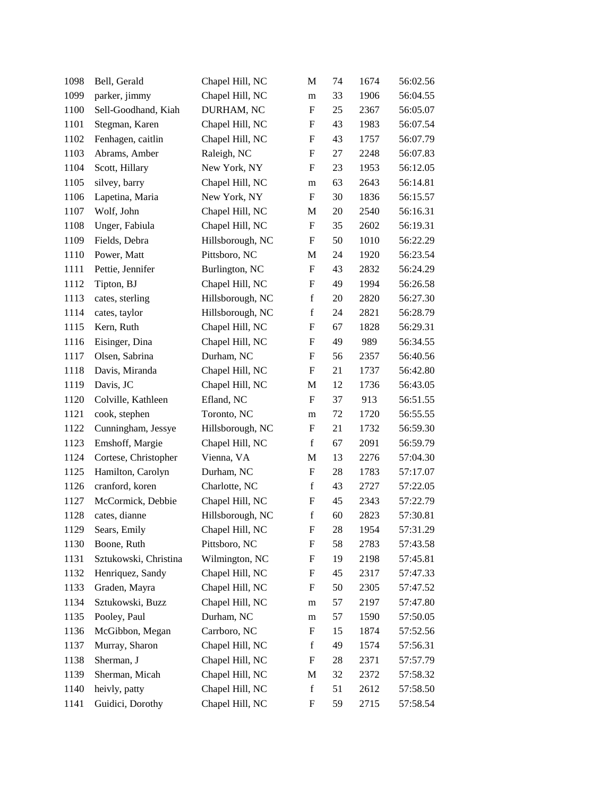| 1098 | Bell, Gerald          | Chapel Hill, NC  | M                         | 74     | 1674 | 56:02.56 |
|------|-----------------------|------------------|---------------------------|--------|------|----------|
| 1099 | parker, jimmy         | Chapel Hill, NC  | m                         | 33     | 1906 | 56:04.55 |
| 1100 | Sell-Goodhand, Kiah   | DURHAM, NC       | $\boldsymbol{\mathrm{F}}$ | 25     | 2367 | 56:05.07 |
| 1101 | Stegman, Karen        | Chapel Hill, NC  | F                         | 43     | 1983 | 56:07.54 |
| 1102 | Fenhagen, caitlin     | Chapel Hill, NC  | F                         | 43     | 1757 | 56:07.79 |
| 1103 | Abrams, Amber         | Raleigh, NC      | $\boldsymbol{\mathrm{F}}$ | $27\,$ | 2248 | 56:07.83 |
| 1104 | Scott, Hillary        | New York, NY     | F                         | 23     | 1953 | 56:12.05 |
| 1105 | silvey, barry         | Chapel Hill, NC  | m                         | 63     | 2643 | 56:14.81 |
| 1106 | Lapetina, Maria       | New York, NY     | $\boldsymbol{F}$          | 30     | 1836 | 56:15.57 |
| 1107 | Wolf, John            | Chapel Hill, NC  | M                         | 20     | 2540 | 56:16.31 |
| 1108 | Unger, Fabiula        | Chapel Hill, NC  | $\boldsymbol{\mathrm{F}}$ | 35     | 2602 | 56:19.31 |
| 1109 | Fields, Debra         | Hillsborough, NC | F                         | 50     | 1010 | 56:22.29 |
| 1110 | Power, Matt           | Pittsboro, NC    | M                         | 24     | 1920 | 56:23.54 |
| 1111 | Pettie, Jennifer      | Burlington, NC   | F                         | 43     | 2832 | 56:24.29 |
| 1112 | Tipton, BJ            | Chapel Hill, NC  | F                         | 49     | 1994 | 56:26.58 |
| 1113 | cates, sterling       | Hillsborough, NC | $\mathbf f$               | 20     | 2820 | 56:27.30 |
| 1114 | cates, taylor         | Hillsborough, NC | $\mathbf f$               | 24     | 2821 | 56:28.79 |
| 1115 | Kern, Ruth            | Chapel Hill, NC  | F                         | 67     | 1828 | 56:29.31 |
| 1116 | Eisinger, Dina        | Chapel Hill, NC  | F                         | 49     | 989  | 56:34.55 |
| 1117 | Olsen, Sabrina        | Durham, NC       | F                         | 56     | 2357 | 56:40.56 |
| 1118 | Davis, Miranda        | Chapel Hill, NC  | F                         | 21     | 1737 | 56:42.80 |
| 1119 | Davis, JC             | Chapel Hill, NC  | M                         | 12     | 1736 | 56:43.05 |
| 1120 | Colville, Kathleen    | Efland, NC       | $\boldsymbol{\mathrm{F}}$ | 37     | 913  | 56:51.55 |
| 1121 | cook, stephen         | Toronto, NC      | m                         | 72     | 1720 | 56:55.55 |
| 1122 | Cunningham, Jessye    | Hillsborough, NC | F                         | 21     | 1732 | 56:59.30 |
| 1123 | Emshoff, Margie       | Chapel Hill, NC  | $\mathbf f$               | 67     | 2091 | 56:59.79 |
| 1124 | Cortese, Christopher  | Vienna, VA       | M                         | 13     | 2276 | 57:04.30 |
| 1125 | Hamilton, Carolyn     | Durham, NC       | $\boldsymbol{\mathrm{F}}$ | 28     | 1783 | 57:17.07 |
| 1126 | cranford, koren       | Charlotte, NC    | $\mathbf f$               | 43     | 2727 | 57:22.05 |
| 1127 | McCormick, Debbie     | Chapel Hill, NC  | F                         | 45     | 2343 | 57:22.79 |
| 1128 | cates, dianne         | Hillsborough, NC | $\mathbf f$               | 60     | 2823 | 57:30.81 |
| 1129 | Sears, Emily          | Chapel Hill, NC  | F                         | 28     | 1954 | 57:31.29 |
| 1130 | Boone, Ruth           | Pittsboro, NC    | F                         | 58     | 2783 | 57:43.58 |
| 1131 | Sztukowski, Christina | Wilmington, NC   | F                         | 19     | 2198 | 57:45.81 |
| 1132 | Henriquez, Sandy      | Chapel Hill, NC  | F                         | 45     | 2317 | 57:47.33 |
| 1133 | Graden, Mayra         | Chapel Hill, NC  | F                         | 50     | 2305 | 57:47.52 |
| 1134 | Sztukowski, Buzz      | Chapel Hill, NC  | m                         | 57     | 2197 | 57:47.80 |
| 1135 | Pooley, Paul          | Durham, NC       | m                         | 57     | 1590 | 57:50.05 |
| 1136 | McGibbon, Megan       | Carrboro, NC     | ${\rm F}$                 | 15     | 1874 | 57:52.56 |
| 1137 | Murray, Sharon        | Chapel Hill, NC  | $\mathbf f$               | 49     | 1574 | 57:56.31 |
| 1138 | Sherman, J            | Chapel Hill, NC  | F                         | 28     | 2371 | 57:57.79 |
| 1139 | Sherman, Micah        | Chapel Hill, NC  | M                         | 32     | 2372 | 57:58.32 |
| 1140 | heivly, patty         | Chapel Hill, NC  | $\mathbf f$               | 51     | 2612 | 57:58.50 |
| 1141 | Guidici, Dorothy      | Chapel Hill, NC  | F                         | 59     | 2715 | 57:58.54 |
|      |                       |                  |                           |        |      |          |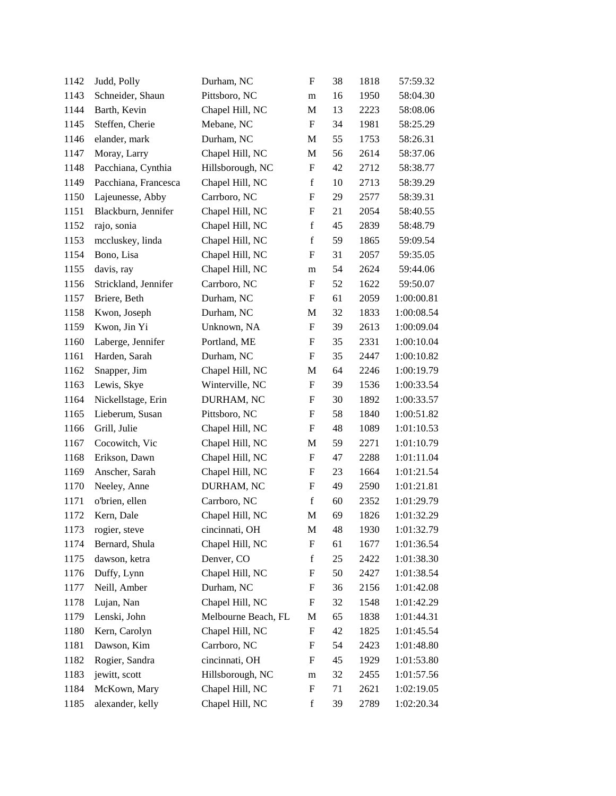| 1142 | Judd, Polly          | Durham, NC          | F                         | 38 | 1818 | 57:59.32   |
|------|----------------------|---------------------|---------------------------|----|------|------------|
| 1143 | Schneider, Shaun     | Pittsboro, NC       | m                         | 16 | 1950 | 58:04.30   |
| 1144 | Barth, Kevin         | Chapel Hill, NC     | M                         | 13 | 2223 | 58:08.06   |
| 1145 | Steffen, Cherie      | Mebane, NC          | F                         | 34 | 1981 | 58:25.29   |
| 1146 | elander, mark        | Durham, NC          | M                         | 55 | 1753 | 58:26.31   |
| 1147 | Moray, Larry         | Chapel Hill, NC     | M                         | 56 | 2614 | 58:37.06   |
| 1148 | Pacchiana, Cynthia   | Hillsborough, NC    | F                         | 42 | 2712 | 58:38.77   |
| 1149 | Pacchiana, Francesca | Chapel Hill, NC     | $\mathbf f$               | 10 | 2713 | 58:39.29   |
| 1150 | Lajeunesse, Abby     | Carrboro, NC        | F                         | 29 | 2577 | 58:39.31   |
| 1151 | Blackburn, Jennifer  | Chapel Hill, NC     | ${\rm F}$                 | 21 | 2054 | 58:40.55   |
| 1152 | rajo, sonia          | Chapel Hill, NC     | $\mathbf f$               | 45 | 2839 | 58:48.79   |
| 1153 | mccluskey, linda     | Chapel Hill, NC     | $\mathbf f$               | 59 | 1865 | 59:09.54   |
| 1154 | Bono, Lisa           | Chapel Hill, NC     | $\boldsymbol{\mathrm{F}}$ | 31 | 2057 | 59:35.05   |
| 1155 | davis, ray           | Chapel Hill, NC     | m                         | 54 | 2624 | 59:44.06   |
| 1156 | Strickland, Jennifer | Carrboro, NC        | ${\bf F}$                 | 52 | 1622 | 59:50.07   |
| 1157 | Briere, Beth         | Durham, NC          | F                         | 61 | 2059 | 1:00:00.81 |
| 1158 | Kwon, Joseph         | Durham, NC          | M                         | 32 | 1833 | 1:00:08.54 |
| 1159 | Kwon, Jin Yi         | Unknown, NA         | $\boldsymbol{\mathrm{F}}$ | 39 | 2613 | 1:00:09.04 |
| 1160 | Laberge, Jennifer    | Portland, ME        | F                         | 35 | 2331 | 1:00:10.04 |
| 1161 | Harden, Sarah        | Durham, NC          | ${\bf F}$                 | 35 | 2447 | 1:00:10.82 |
| 1162 | Snapper, Jim         | Chapel Hill, NC     | M                         | 64 | 2246 | 1:00:19.79 |
| 1163 | Lewis, Skye          | Winterville, NC     | F                         | 39 | 1536 | 1:00:33.54 |
| 1164 | Nickellstage, Erin   | DURHAM, NC          | $\boldsymbol{\mathrm{F}}$ | 30 | 1892 | 1:00:33.57 |
| 1165 | Lieberum, Susan      | Pittsboro, NC       | F                         | 58 | 1840 | 1:00:51.82 |
| 1166 | Grill, Julie         | Chapel Hill, NC     | ${\bf F}$                 | 48 | 1089 | 1:01:10.53 |
| 1167 | Cocowitch, Vic       | Chapel Hill, NC     | M                         | 59 | 2271 | 1:01:10.79 |
| 1168 | Erikson, Dawn        | Chapel Hill, NC     | F                         | 47 | 2288 | 1:01:11.04 |
| 1169 | Anscher, Sarah       | Chapel Hill, NC     | ${\rm F}$                 | 23 | 1664 | 1:01:21.54 |
| 1170 | Neeley, Anne         | DURHAM, NC          | F                         | 49 | 2590 | 1:01:21.81 |
| 1171 | o'brien, ellen       | Carrboro, NC        | $\mathbf f$               | 60 | 2352 | 1:01:29.79 |
| 1172 | Kern, Dale           | Chapel Hill, NC     | M                         | 69 | 1826 | 1:01:32.29 |
| 1173 | rogier, steve        | cincinnati, OH      | M                         | 48 | 1930 | 1:01:32.79 |
| 1174 | Bernard, Shula       | Chapel Hill, NC     | ${\rm F}$                 | 61 | 1677 | 1:01:36.54 |
| 1175 | dawson, ketra        | Denver, CO          | $\mathbf f$               | 25 | 2422 | 1:01:38.30 |
| 1176 | Duffy, Lynn          | Chapel Hill, NC     | F                         | 50 | 2427 | 1:01:38.54 |
| 1177 | Neill, Amber         | Durham, NC          | F                         | 36 | 2156 | 1:01:42.08 |
| 1178 | Lujan, Nan           | Chapel Hill, NC     | ${\rm F}$                 | 32 | 1548 | 1:01:42.29 |
| 1179 | Lenski, John         | Melbourne Beach, FL | M                         | 65 | 1838 | 1:01:44.31 |
| 1180 | Kern, Carolyn        | Chapel Hill, NC     | F                         | 42 | 1825 | 1:01:45.54 |
| 1181 | Dawson, Kim          | Carrboro, NC        | F                         | 54 | 2423 | 1:01:48.80 |
| 1182 | Rogier, Sandra       | cincinnati, OH      | F                         | 45 | 1929 | 1:01:53.80 |
| 1183 | jewitt, scott        | Hillsborough, NC    | m                         | 32 | 2455 | 1:01:57.56 |
| 1184 | McKown, Mary         | Chapel Hill, NC     | ${\rm F}$                 | 71 | 2621 | 1:02:19.05 |
| 1185 | alexander, kelly     | Chapel Hill, NC     | $\mathbf f$               | 39 | 2789 | 1:02:20.34 |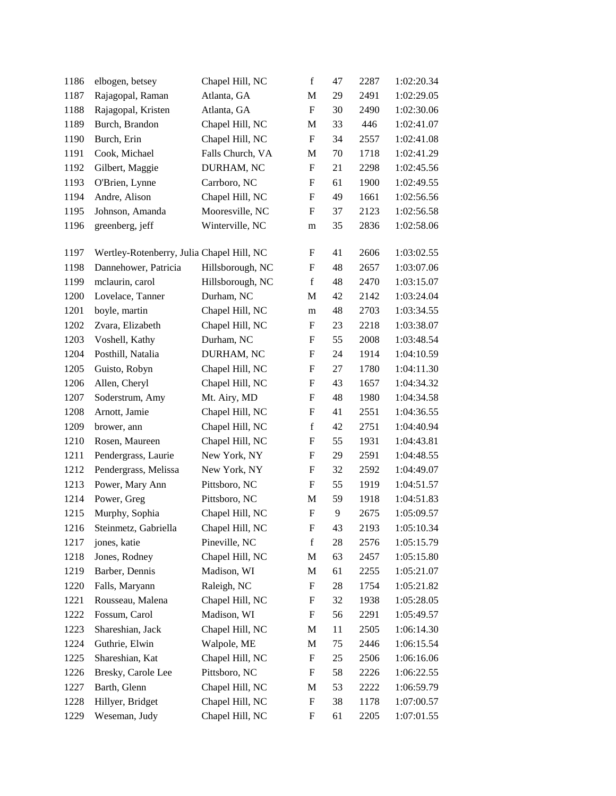| 1186 | elbogen, betsey                           | Chapel Hill, NC  | $\mathbf f$               | 47 | 2287 | 1:02:20.34 |
|------|-------------------------------------------|------------------|---------------------------|----|------|------------|
| 1187 | Rajagopal, Raman                          | Atlanta, GA      | M                         | 29 | 2491 | 1:02:29.05 |
| 1188 | Rajagopal, Kristen                        | Atlanta, GA      | $\mathbf F$               | 30 | 2490 | 1:02:30.06 |
| 1189 | Burch, Brandon                            | Chapel Hill, NC  | M                         | 33 | 446  | 1:02:41.07 |
| 1190 | Burch, Erin                               | Chapel Hill, NC  | $\boldsymbol{\mathrm{F}}$ | 34 | 2557 | 1:02:41.08 |
| 1191 | Cook, Michael                             | Falls Church, VA | M                         | 70 | 1718 | 1:02:41.29 |
| 1192 | Gilbert, Maggie                           | DURHAM, NC       | F                         | 21 | 2298 | 1:02:45.56 |
| 1193 | O'Brien, Lynne                            | Carrboro, NC     | F                         | 61 | 1900 | 1:02:49.55 |
| 1194 | Andre, Alison                             | Chapel Hill, NC  | F                         | 49 | 1661 | 1:02:56.56 |
| 1195 | Johnson, Amanda                           | Mooresville, NC  | F                         | 37 | 2123 | 1:02:56.58 |
| 1196 | greenberg, jeff                           | Winterville, NC  | m                         | 35 | 2836 | 1:02:58.06 |
| 1197 | Wertley-Rotenberry, Julia Chapel Hill, NC |                  | $\boldsymbol{\mathrm{F}}$ | 41 | 2606 | 1:03:02.55 |
| 1198 | Dannehower, Patricia                      | Hillsborough, NC | $\boldsymbol{\mathrm{F}}$ | 48 | 2657 | 1:03:07.06 |
| 1199 | mclaurin, carol                           | Hillsborough, NC | $\mathbf f$               | 48 | 2470 | 1:03:15.07 |
| 1200 | Lovelace, Tanner                          | Durham, NC       | M                         | 42 | 2142 | 1:03:24.04 |
| 1201 | boyle, martin                             | Chapel Hill, NC  | m                         | 48 | 2703 | 1:03:34.55 |
| 1202 | Zvara, Elizabeth                          | Chapel Hill, NC  | F                         | 23 | 2218 | 1:03:38.07 |
| 1203 | Voshell, Kathy                            | Durham, NC       | F                         | 55 | 2008 | 1:03:48.54 |
| 1204 | Posthill, Natalia                         | DURHAM, NC       | ${\rm F}$                 | 24 | 1914 | 1:04:10.59 |
| 1205 | Guisto, Robyn                             | Chapel Hill, NC  | $\boldsymbol{\mathrm{F}}$ | 27 | 1780 | 1:04:11.30 |
| 1206 | Allen, Cheryl                             | Chapel Hill, NC  | F                         | 43 | 1657 | 1:04:34.32 |
| 1207 | Soderstrum, Amy                           | Mt. Airy, MD     | F                         | 48 | 1980 | 1:04:34.58 |
| 1208 | Arnott, Jamie                             | Chapel Hill, NC  | $\boldsymbol{\mathrm{F}}$ | 41 | 2551 | 1:04:36.55 |
| 1209 | brower, ann                               | Chapel Hill, NC  | $\mathbf f$               | 42 | 2751 | 1:04:40.94 |
| 1210 | Rosen, Maureen                            | Chapel Hill, NC  | $\boldsymbol{\mathrm{F}}$ | 55 | 1931 | 1:04:43.81 |
| 1211 | Pendergrass, Laurie                       | New York, NY     | F                         | 29 | 2591 | 1:04:48.55 |
| 1212 | Pendergrass, Melissa                      | New York, NY     | F                         | 32 | 2592 | 1:04:49.07 |
| 1213 | Power, Mary Ann                           | Pittsboro, NC    | $\boldsymbol{\mathrm{F}}$ | 55 | 1919 | 1:04:51.57 |
| 1214 | Power, Greg                               | Pittsboro, NC    | M                         | 59 | 1918 | 1:04:51.83 |
| 1215 | Murphy, Sophia                            | Chapel Hill, NC  | ${\rm F}$                 | 9  | 2675 | 1:05:09.57 |
| 1216 | Steinmetz, Gabriella                      | Chapel Hill, NC  | ${\bf F}$                 | 43 | 2193 | 1:05:10.34 |
| 1217 | jones, katie                              | Pineville, NC    | $\mathbf f$               | 28 | 2576 | 1:05:15.79 |
| 1218 | Jones, Rodney                             | Chapel Hill, NC  | M                         | 63 | 2457 | 1:05:15.80 |
| 1219 | Barber, Dennis                            | Madison, WI      | M                         | 61 | 2255 | 1:05:21.07 |
| 1220 | Falls, Maryann                            | Raleigh, NC      | F                         | 28 | 1754 | 1:05:21.82 |
| 1221 | Rousseau, Malena                          | Chapel Hill, NC  | F                         | 32 | 1938 | 1:05:28.05 |
| 1222 | Fossum, Carol                             | Madison, WI      | $\boldsymbol{\mathrm{F}}$ | 56 | 2291 | 1:05:49.57 |
| 1223 | Shareshian, Jack                          | Chapel Hill, NC  | M                         | 11 | 2505 | 1:06:14.30 |
| 1224 | Guthrie, Elwin                            | Walpole, ME      | M                         | 75 | 2446 | 1:06:15.54 |
| 1225 | Shareshian, Kat                           | Chapel Hill, NC  | ${\rm F}$                 | 25 | 2506 | 1:06:16.06 |
| 1226 | Bresky, Carole Lee                        | Pittsboro, NC    | F                         | 58 | 2226 | 1:06:22.55 |
| 1227 | Barth, Glenn                              | Chapel Hill, NC  | M                         | 53 | 2222 | 1:06:59.79 |
| 1228 | Hillyer, Bridget                          | Chapel Hill, NC  | $\boldsymbol{\mathrm{F}}$ | 38 | 1178 | 1:07:00.57 |
| 1229 | Weseman, Judy                             | Chapel Hill, NC  | F                         | 61 | 2205 | 1:07:01.55 |